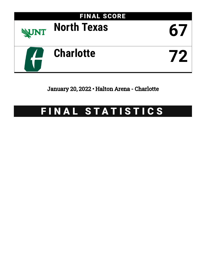

January 20, 2022 • Halton Arena - Charlotte

## FINAL STATISTICS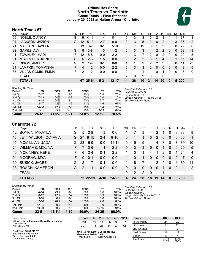### **Official Box Score North Texas vs Charlotte Game Totals -- Final Statistics January 20, 2022 at Halton Arena - Charlotte**



### **North Texas 67**

| No. | Player                    | S  | <b>Pts</b> | FG       | 3FG      | FT        | ΟR | DR | TR             | PF             | A        | TO           | <b>B</b> lk  | Stl      | Min   | $+/-$        |
|-----|---------------------------|----|------------|----------|----------|-----------|----|----|----------------|----------------|----------|--------------|--------------|----------|-------|--------------|
| 00  | NOBLE, QUINCY             | G  | 9          | 4-11     | 1-4      | $0 - 1$   | 0  | 3  | 3              | 5              | 2        | 3            |              |          | 37    | -1           |
| 04  | JACKSON, JAZION           | G  | 12         | $5 - 13$ | $2 - 7$  | $0 - 0$   | 2  | 3  | 5              | $\overline{2}$ | 6        | 2            |              | 3        | 36    | 2            |
| 21  | MALLARD, JAYLEN           | F. | 13         | $3 - 7$  | $0 - 1$  | $7 - 10$  | 5  |    | 12             | 0              | 1        | 3            | $\Omega$     | 0        | 27    | 0            |
| 22  | GAMEZ, ALY                | G  | 8          | $3 - 8$  | $1 - 3$  | $1 - 2$   | 0  | 3  | 3              | 4              | 2        | 2            | $\Omega$     | 0        | 29    | -9           |
| 41  | TOWNLEY, MADI             | F. | 12         | $5-8$    | $0 - 0$  | $2 - 2$   | 4  | 3  |                | 2              | $\Omega$ | 2            | $\Omega$     | $\Omega$ | 29    | 5            |
| 01  | MCGRUDER, KENDALL         | G  | 5          | $2-6$    | $1-5$    | $0 - 0$   | 0  | 2  | $\overline{2}$ | 3              |          | 4            | 0            |          | 17    | $-14$        |
| 20  | DIXON, AMBER              | G  | 2          | $1 - 4$  | $0 - 1$  | $0 - 0$   |    |    | 2              | 2              | 2        | 3            | 0            | 0        | 11    | $-3$         |
| 24  | LAMPKIN, TOMMISHA         |    | 4          | $1 - 2$  | $0 - 0$  | $2 - 2$   | 0  | 3  | 3              | 2              | 0        | $\mathbf{0}$ | $\mathbf{0}$ | 0        | 8     | $-5$         |
| 33  | <b>VILLAS-GOMIS, EMMA</b> | F. | 2          | $1 - 2$  | $0 - 0$  | $0 - 0$   | 0  |    |                | 1              | 0        |              | 0            | 0        | 5     | $\mathbf{0}$ |
|     | <b>TEAM</b>               |    |            |          |          |           | 2  | 0  | 2              | -0             |          | 0            |              |          |       |              |
|     | <b>TOTALS</b>             |    | 67         | 25-61    | $5 - 21$ | $12 - 17$ | 14 | 26 | 40             | 21             | 14       | 20           | 2            |          | 5 200 |              |

| <b>Shooting By Period</b> |           |       |          |       |           |       | Deadball Rebounds: 3.0           |
|---------------------------|-----------|-------|----------|-------|-----------|-------|----------------------------------|
| Period                    | FG        | FG%   | 3FG      | 3FG%  | FТ        | FT%   | Last FG: 4th-03:27               |
| 1st Qtr                   | 7-17      | 41%   | $2 - 5$  | 40%   | $3 - 4$   | 75%   | Biggest Run: 7-0                 |
| 2nd Qtr                   | $7 - 13$  | 54%   | $0 - 3$  | 00%   | $0-0$     | 0%    | Largest lead: By 11 at 3rd-01:28 |
| 3rd Qtr                   | $9 - 14$  | 64%   | $2 - 4$  | 50%   | $5 - 7$   | 71%   | Technical Fouls: None.           |
| 4th Qtr                   | $2 - 17$  | 12%   | 1-9      | 11%   | $4-6$     | 67%   |                                  |
| 1st Half                  | 14-30     | 47%   | $2 - 8$  | 25%   | $3 - 4$   | 75%   |                                  |
| 2nd Half                  | $11 - 31$ | 35%   | $3 - 13$ | 23%   | $9 - 13$  | 69%   |                                  |
| Game                      | 25-61     | 41.0% | $5 - 21$ | 23.8% | $12 - 17$ | 70.6% |                                  |

**Charlotte 72**

| No.       | Player                  | S. | Pts           | FG       | 3FG      | FT        | OR           | DR.      | TR       | PF       | A              | TO       | <b>B</b> lk  | Stl          | Min   | $+/-$    |
|-----------|-------------------------|----|---------------|----------|----------|-----------|--------------|----------|----------|----------|----------------|----------|--------------|--------------|-------|----------|
| 12        | <b>BOYKIN, MIKAYLA</b>  | G  | 5             | $2 - 8$  | $1 - 3$  | $0-0$     |              |          | 8        | 4        | 2              |          | 0            | 3            | 33    | 8        |
| 13        | JETT-WILSON, OCTAVIA    | G. |               | 27 8-15  | $2 - 4$  | $9 - 10$  | $\mathbf{0}$ |          |          | 3        | 2              | $\Omega$ | $\mathbf{0}$ | $\mathbf{0}$ | 36    | $-1$     |
| 15        | <b>MCMILLIAN, JADA</b>  | G  | 23            | $6-9$    | $0 - 0$  | $11 - 11$ | $\Omega$     | 5        | 5        | 1        | 4              | 3        | $\Omega$     | 3            | 39    | 10       |
| 24        | <b>WILLIAMS, MOLINA</b> | F. | 7             | $2 - 6$  | $1 - 1$  | $2 - 2$   | $\Omega$     | 3        | 3        | 5        | $\Omega$       | 1        | $\Omega$     | $\Omega$     | 20    | -5       |
| 40        | <b>MCKINNEY, KEKE</b>   | F. | 6             | $2 - 4$  | $0 - 1$  | $2 - 2$   |              | $\Omega$ |          | 4        |                | 2        | $\Omega$     |              | 24    | 4        |
| 01        | MCGRAW, MYA             | F  | $\Omega$      | $0 - 1$  | $0 - 0$  | $0 - 0$   | 1            | $\Omega$ | 1        | $\Omega$ | $\overline{0}$ | $\Omega$ | $\Omega$     | $\Omega$     | 7     | $\Omega$ |
| <b>20</b> | <b>BUSICK, JACEE</b>    | G  | $\mathcal{P}$ | $1 - 7$  | $0 - 1$  | $0-0$     | 1            | 6        | 7        | 1        | 2              | 5        | $\Omega$     |              | 30    | 11       |
| 23        | ROACH, KAMERON          | G  | $\mathcal{P}$ | $1 - 1$  | $0 - 0$  | $0-0$     | $\Omega$     | $\Omega$ | $\Omega$ | $\Omega$ | $\Omega$       | 1        | $\Omega$     | $\Omega$     | 11    | $-2$     |
|           | <b>TEAM</b>             |    |               |          |          |           | $\Omega$     | 2        | 2        | $\Omega$ |                | 1        |              |              |       |          |
|           | <b>TOTALS</b>           |    |               | 72 22-51 | $4 - 10$ | 24-25     | 4            | 24       | 28       | 18       | 11             | 14       | n            |              | 8 200 |          |

| <b>Shooting By Period</b> |           |       |         |        |           |       |
|---------------------------|-----------|-------|---------|--------|-----------|-------|
| Period                    | FG        | FG%   | 3FG     | 3FG%   | FT        | FT%   |
| 1st Qtr                   | $4 - 14$  | 29%   | $0 - 3$ | $00\%$ | $6 - 6$   | 100%  |
| 2nd Qtr                   | $8 - 17$  | 47%   | $2 - 2$ | 100%   | $3 - 3$   | 100%  |
| 3rd Qtr                   | $3 - 10$  | 30%   | $0 - 3$ | $00\%$ | $8 - 8$   | 100%  |
| 4th Qtr                   | $7 - 10$  | 70%   | $2 - 2$ | 100%   | $7 - 8$   | 88%   |
| 1st Half                  | $12 - 31$ | 39%   | $2 - 5$ | 40%    | $9-9$     | 100%  |
| 2nd Half                  | $10 - 20$ | 50%   | $2 - 5$ | 40%    | $15 - 16$ | 94%   |
| Game                      | $22 - 51$ | 43.1% | 4-10    | 40.0%  | $24 - 25$ | 96.0% |

*Deadball Rebounds:* 0,0 *Last FG:* 4th-00:16 *Biggest Run:* 9-0 *Largest lead:* By 5 at 4th-00:16 *Technical Fouls:* None.

| Game Notes:                                                 | <b>Score</b>                                                   | 1st | 2nd | 3rd | 4th | <b>Points</b> | UNT | <b>CLT</b> |
|-------------------------------------------------------------|----------------------------------------------------------------|-----|-----|-----|-----|---------------|-----|------------|
| Officials: Carla Fountain, Dawn Marsh, Metta<br>Christensen | UNT                                                            | 19  | 14  | 25  |     | In the Paint  | 24  | 20         |
| Attendance: 19                                              | CLT                                                            | 14  | 21  | 14  | 23  | Off Turns     | 13  | 26         |
|                                                             |                                                                |     |     |     |     | 2nd Chance    |     |            |
| Start Time: 06:01 PM ET<br>End Time: 08:01 PM ET            | UNT led for 29:10. CLT led for 7:02.<br>Game was tied for 3:49 |     |     |     |     | Fast Break    | 19  |            |
|                                                             |                                                                |     |     |     |     |               | $-$ |            |

End Time: **08:01 PM ET** Game Duration: **2:00** Conference Game;

**Game was tied**: 8 **S.43.**<br>Lead Changes: 5

| <b>Points</b> | <b>UNT</b>     | <b>CLT</b>     |
|---------------|----------------|----------------|
| In the Paint  | 24             | 20             |
| Off Turns     | 13             | 26             |
| 2nd Chance    |                | 2              |
| Fast Break    | 19             | 11             |
| Bench         | 13             |                |
| Per Poss      | 0.918<br>31/73 | 1.043<br>32/69 |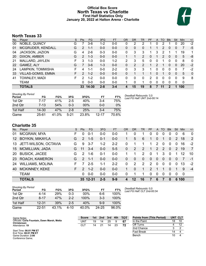### **Official Box Score North Texas vs Charlotte First Half Statistics Only January 20, 2022 at Halton Arena - Charlotte**



### **North Texas 33**

| No. | Plaver                    | S  | <b>Pts</b>     | FG.     | 3FG     | <b>FT</b> | <b>OR</b> | DR       | TR             | <b>PF</b> | A | TO | <b>Blk</b> | Stl | <b>Min</b> | $+/-$       |
|-----|---------------------------|----|----------------|---------|---------|-----------|-----------|----------|----------------|-----------|---|----|------------|-----|------------|-------------|
| 00  | NOBLE, QUINCY             | G  |                | 3-6     | $1 - 2$ | $0 - 0$   | 0         | 2        | າ              |           | 0 | 2  |            | 0   | 20         | $-2$        |
| 01  | MCGRUDER, KENDALL         | G  | 2              | $1 - 1$ | $0 - 0$ | $0 - 0$   | 0         | $\Omega$ | 0              |           |   | 2  | $\Omega$   | 0   | 7          | -5          |
| 04  | JACKSON, JAZION           | G  | 4              | 2-6     | $0 - 3$ | $0-0$     | 0         | 3        | 3              |           | 3 | 2  |            | 1   | 19         | 1           |
| 20  | DIXON, AMBER              | G  | $\overline{2}$ | $1 - 3$ | $0 - 0$ | $0 - 0$   |           |          | $\overline{2}$ | 0         |   | 2  | 0          | 0   | 5          | -8          |
| 21  | MALLARD, JAYLEN           | F. | 3              | 1-3     | $0 - 0$ | $1-2$     | 2         | 3        | 5              | 0         | 0 |    | 0          | 0   | 8          | $\mathbf 0$ |
| 22  | GAMEZ, ALY                | G  |                | $3-6$   | $1 - 3$ | $0 - 0$   | 0         | 2        | $\overline{2}$ |           | 2 |    | 0          | 0   | 20         | $-2$        |
| 24  | LAMPKIN, TOMMISHA         | F. | 4              | 1-1     | $0 - 0$ | $2 - 2$   | 0         | 3        | 3              |           | 0 | 0  | 0          | 0   | 7          | $-2$        |
| 33  | <b>VILLAS-GOMIS, EMMA</b> | F  | 2              | $1 - 2$ | $0 - 0$ | $0 - 0$   | 0         |          |                |           | 0 |    | 0          | 0   | 5          | 0           |
| 41  | TOWNLEY, MADI             | F  | 2              | $1 - 2$ | $0 - 0$ | $0 - 0$   | 0         | 0        | 0              | 2         | 0 | 0  | $\Omega$   | 0   | 9          | 8           |
|     | <b>TEAM</b>               |    | 0              | $0 - 0$ | $0 - 0$ | $0 - 0$   |           | 0        | 1              | 0         | 0 | 0  | 0          | 0   | 0          |             |
|     | <b>TOTALS</b>             |    | 33             | 14-30   | $2 - 8$ | $3 - 4$   |           | 15       | 19             | 8         |   | 11 |            | 1   | 100        |             |

| <b>Shooting By Period</b><br>Period | FG        | FG%   | 3FG      | 3FG%   | FT        | FT%   | Deadball Rebounds: 3,0<br>Last FG Half: UNT 2nd-00:14 |
|-------------------------------------|-----------|-------|----------|--------|-----------|-------|-------------------------------------------------------|
| 1st Qtr                             | 7-17      | 41%   | $2 - 5$  | 40%    | $3 - 4$   | 75%   |                                                       |
| 2nd Qtr                             | $7 - 13$  | 54%   | $0 - 3$  | $00\%$ | 0-0       | $0\%$ |                                                       |
| 1st Half                            | 14-30     | 47%   | $2 - 8$  | 25%    | $3-4$     | 75%   |                                                       |
| Game                                | $25 - 61$ | 41.0% | $5 - 21$ | 23.8%  | $12 - 17$ | 70.6% |                                                       |

### **Charlotte 35**

| No. | Player                  | S  | <b>Pts</b>    | <b>FG</b> | 3FG     | <b>FT</b> | <b>OR</b> | <b>DR</b>   | TR       | <b>PF</b>     | $\mathsf{A}$   | TO            | <b>BIK</b> | Stl      | <b>Min</b> | $+/-$          |
|-----|-------------------------|----|---------------|-----------|---------|-----------|-----------|-------------|----------|---------------|----------------|---------------|------------|----------|------------|----------------|
| 01  | MCGRAW, MYA             | F. | 0             | 0-1       | $0-0$   | $0 - 0$   |           | 0           |          | 0             | 0              | 0             | 0          | 0        | 6          | $\mathbf{0}$   |
| 12  | <b>BOYKIN, MIKAYLA</b>  | G  | 2             | $1 - 5$   | $0 - 1$ | $0 - 0$   | 1.        | 5           | 6        | 1             | $\overline{0}$ | 1             | $\Omega$   | 2        | 18         | 2              |
| 13  | JETT-WILSON, OCTAVIA    | G  | 9             | $3 - 7$   | $1 - 2$ | $2 - 2$   | 0         | 1           |          | 1             | 2              | 0             | $\Omega$   | $\Omega$ | 16         | $-2$           |
| 15  | <b>MCMILLIAN, JADA</b>  | G  | 11            | $3 - 4$   | $0 - 0$ | $5-5$     | $\Omega$  | 2           | 2        | 1             | 2              | $\mathcal{P}$ | $\Omega$   | 2        | 19         | $\overline{7}$ |
| 20  | <b>BUSICK, JACEE</b>    | G  | 2             | $1 - 6$   | $0 - 1$ | $0 - 0$   |           | 1           | 2        | $\Omega$      |                | 3             | $\Omega$   |          | 12         | 10             |
| 23  | ROACH, KAMERON          | G  | $\mathcal{P}$ | $1 - 1$   | $0 - 0$ | $0 - 0$   | $\Omega$  | 0           | $\Omega$ | $\Omega$      | $\Omega$       | $\Omega$      | $\Omega$   | $\Omega$ |            | $-1$           |
| 24  | <b>WILLIAMS, MOLINA</b> | F  |               | $2 - 5$   | 1-1     | $2 - 2$   | 0         | 2           | 2        | $\mathcal{P}$ | $\Omega$       | 0             | $\Omega$   | 0        | 13         | $-2$           |
| 40  | <b>MCKINNEY, KEKE</b>   | F. | $\mathcal{P}$ | $1 - 2$   | $0 - 0$ | $0 - 0$   |           | $\mathbf 0$ | 1.       | $\mathcal{P}$ |                |               | $\Omega$   |          | 9          | $-4$           |
|     | <b>TEAM</b>             |    | 0             | $0 - 0$   | $0 - 0$ | $0 - 0$   | $\Omega$  | 1           | 1.       | $\Omega$      | $\Omega$       | $\Omega$      | $\Omega$   | 0        | $\Omega$   |                |
|     | <b>TOTALS</b>           |    |               | 35 12-31  | $2 - 5$ | $9-9$     |           | 12          | 16       |               | 6              |               | $\bf{0}$   |          | 6 100      |                |

| <b>Shooting By Period</b><br>Period | FG        | FG%        | 3FG     | 3FG%   | FТ      | FT%   |
|-------------------------------------|-----------|------------|---------|--------|---------|-------|
| 1st Otr                             | $4 - 14$  | <b>29%</b> | $0 - 3$ | $00\%$ | 6-6     | 100%  |
| 2nd Qtr                             | $8 - 17$  | 47%        | $2 - 2$ | 100%   | $3 - 3$ | 100%  |
| 1st Half                            | $12 - 31$ | 39%        | $2-5$   | 40%    | 9-9     | 100%  |
| Game                                | 22-51     | 43.1%      | 4-10    | 40.0%  | 24-25   | 96.0% |

*Deadball Rebounds:* 0,0 *Last FG Half:* CLT 2nd-00:34

| Game Notes:                                                 | <b>Score</b> | 1st l | 2nd | 3rd | 4th | <b>TOT</b> | <b>Points from (This Period)</b> | UNT CLT |    |
|-------------------------------------------------------------|--------------|-------|-----|-----|-----|------------|----------------------------------|---------|----|
| Officials: Carla Fountain, Dawn Marsh, Metta<br>Christensen | UNT          | 19    | 14  | 25  |     | 67         | In the Paint                     | 18      | 10 |
| Attendance: 19                                              | CLT          | 14    | 21  | 14  | 23  | 72         | Off Turns                        |         |    |
|                                                             |              |       |     |     |     |            | 2nd Chance                       |         |    |
| Start Time: 06:01 PM ET<br>End Time: 08:01 PM ET            |              |       |     |     |     |            | Fast Break                       | 14      |    |
| Game Duration: 2:00<br>Conference Game:                     |              |       |     |     |     |            | Bench                            | 10      |    |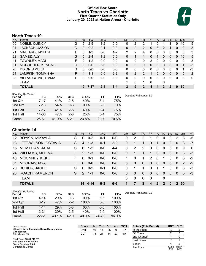### **Official Box Score North Texas vs Charlotte First Quarter Statistics Only January 20, 2022 at Halton Arena - Charlotte**



### **North Texas 19**

| No. | Plaver                    | S | <b>Pts</b> | FG       | 3FG     | <b>FT</b> | <b>OR</b> | DR | TR | PF       | A        | TO       | <b>Blk</b> | <b>Stl</b>   | Min | $+/-$ |
|-----|---------------------------|---|------------|----------|---------|-----------|-----------|----|----|----------|----------|----------|------------|--------------|-----|-------|
| 00  | NOBLE, QUINCY             | G | 5          | $2 - 5$  | 1-2     | $0 - 0$   | 0         | 2  | 2  |          |          |          |            | $\Omega$     | 10  | 5     |
| 04  | JACKSON, JAZION           | G | 0          | $0 - 2$  | $0 - 1$ | $0-0$     | 0         | 2  | 2  | 0        | 3        | 2        |            | $\Omega$     | 9   | 8     |
| 21  | MALLARD, JAYLEN           | F | 3          | 1-3      | $0 - 0$ | $1 - 2$   | 2         | 2  | 4  | 0        | 0        | 0        | 0          | 0            | 5   | 3     |
| 22  | GAMEZ, ALY                | G | 5          | $2 - 4$  | $1 - 2$ | $0 - 0$   | 0         |    |    | $\Omega$ |          | $\Omega$ | 0          | $\mathbf{0}$ | 10  | 5     |
| 41  | TOWNLEY, MADI             | F | 2          | $1 - 2$  | $0 - 0$ | $0 - 0$   | 0         | 0  | 0  | 2        | $\Omega$ | 0        | 0          | $\Omega$     | 9   | 8     |
| 01  | MCGRUDER, KENDALL         | G | 0          | $0 - 0$  | $0 - 0$ | $0 - 0$   | $\Omega$  | 0  | 0  | 0        | $\Omega$ | $\Omega$ | 0          | $\Omega$     | 1   | $-3$  |
| 20  | DIXON, AMBER              | G | 0          | $0 - 0$  | $0 - 0$ | $0 - 0$   | 0         | 0  | 0  | 0        | $\Omega$ | 0        | 0          | 0            | 1   | $-3$  |
| 24  | LAMPKIN, TOMMISHA         | F | 4          | $1 - 1$  | $0 - 0$ | $2 - 2$   | 0         |    | 2  |          | $\Omega$ | 0        | 0          | $\mathbf{0}$ | 5   | 2     |
| 33  | <b>VILLAS-GOMIS, EMMA</b> | F | 0          | $0 - 0$  | $0-0$   | $0 - 0$   | 0         | 0  | 0  | 0        | $\Omega$ | 0        | 0          | $\mathbf 0$  | 0   | 0     |
|     | TEAM                      |   |            |          |         |           |           | 0  | 1  | 0        |          | 0        |            |              |     |       |
|     | <b>TOTALS</b>             |   | 19         | $7 - 17$ | $2 - 5$ | $3 - 4$   | 3         | 9  | 12 | 4        | 4        | 3        | 2          | $\Omega$     | 50  |       |

| <b>Shooting By Period</b><br>Period | FG        | FG%   | 3FG      | 3FG%  | FT        | FT%   | Deadball Rebounds: 3,0 |
|-------------------------------------|-----------|-------|----------|-------|-----------|-------|------------------------|
| 1st Qtr                             | 7-17      | 41%   | $2 - 5$  | 40%   | $3 - 4$   | 75%   |                        |
| 2nd Qtr                             | $7 - 13$  | 54%   | $0 - 3$  | 00%   | 0-0       | 0%    |                        |
| 1st Half                            | $7 - 17$  | 41%   | $2 - 5$  | 40%   | $3 - 4$   | 75%   |                        |
| 1st Half                            | 14-30     | 47%   | $2 - 8$  | 25%   | $3-4$     | 75%   |                        |
| Game                                | $25 - 61$ | 41.0% | $5 - 21$ | 23.8% | $12 - 17$ | 70.6% |                        |

### **Charlotte 14**

| No. | Plaver                  | S. | <b>Pts</b>    | FG.     | 3FG     | FT      | OR | DR       | TR       | <b>PF</b>     | A        | TO       | <b>B</b> lk    | Stl            | Min | $+/-$    |
|-----|-------------------------|----|---------------|---------|---------|---------|----|----------|----------|---------------|----------|----------|----------------|----------------|-----|----------|
| 12  | <b>BOYKIN, MIKAYLA</b>  | G  | 0             | $0 - 2$ | 0-1     | $0-0$   | 0  | 2        | 2        |               | 0        |          | 0              | 2              | 8   | -5       |
| 13  | JETT-WILSON, OCTAVIA    | G  | 4             | $1 - 3$ | $0 - 1$ | $2 - 2$ | 0  |          |          | 0             |          | 0        | 0              | $\Omega$       | 8   | $-7$     |
| 15  | <b>MCMILLIAN, JADA</b>  | G  | 6             | $1 - 2$ | $0 - 0$ | $4 - 4$ | 0  | 2        | 2        | $\Omega$      | $\Omega$ | $\Omega$ | 0              | 0              | 9   | $\Omega$ |
| 24  | <b>WILLIAMS, MOLINA</b> | F. | $\mathcal{P}$ | $1 - 3$ | $0 - 0$ | $0-0$   | 0  |          |          |               | $\Omega$ | $\Omega$ | $\overline{0}$ | $\overline{0}$ | 8   | $-3$     |
| 40  | <b>MCKINNEY, KEKE</b>   | F  | 0             | $0 - 1$ | $0-0$   | $0-0$   |    | 0        |          | $\mathcal{P}$ | 0        |          | 0              | $\Omega$       | 5   | $-2$     |
| 01  | MCGRAW, MYA             | F. | 0             | $0 - 0$ | $0 - 0$ | $0-0$   | 0  | 0        | $\Omega$ | 0             | 0        | $\Omega$ | $\Omega$       | $\Omega$       | 2   | $-2$     |
| 20  | <b>BUSICK, JACEE</b>    | G  | $\Omega$      | $0 - 2$ | $0 - 1$ | $0-0$   | 0  |          |          | 0             |          |          | 0              | 0              | 5   | -3       |
| 23  | ROACH, KAMERON          | G  | $\mathcal{P}$ | $1 - 1$ | $0 - 0$ | $0 - 0$ | 0  | $\Omega$ | $\Omega$ | $\Omega$      | 0        | $\Omega$ | $\Omega$       | $\Omega$       | 5   | $-3$     |
|     | <b>TEAM</b>             |    |               |         |         |         | 0  | 0        | $\Omega$ | $\mathbf 0$   |          | 0        |                |                |     |          |
|     | <b>TOTALS</b>           |    | 14            | 4-14    | $0 - 3$ | $6 - 6$ | 1  |          | 8        | 4             | 2        | 2        | O              | 2              | 50  |          |

| <b>Shooting By Period</b><br>Period | FG        | FG%   | 3FG      | 3FG%  | <b>FT</b> | FT%   | Deadball Rebounds: 0.0 |
|-------------------------------------|-----------|-------|----------|-------|-----------|-------|------------------------|
| 1st Qtr                             | 4-14      | 29%   | $0 - 3$  | 00%   | 6-6       | 100%  |                        |
| 2nd Qtr                             | $8 - 17$  | 47%   | $2 - 2$  | 100%  | $3 - 3$   | 100%  |                        |
| 1st Half                            | $4 - 14$  | 29%   | $0 - 3$  | 00%   | $6-6$     | 100%  |                        |
| 1st Half                            | $12 - 31$ | 39%   | $2 - 5$  | 40%   | $9-9$     | 100%  |                        |
| Game                                | $22 - 51$ | 43.1% | $4 - 10$ | 40.0% | 24-25     | 96.0% |                        |

| Game Notes:                                                 | <b>Score</b> |    | 1st 2nd | 3rd | 4th | <b>TOT</b> | <b>Points (This Period)</b> | <b>UNT</b>   | <b>CLT</b>    |
|-------------------------------------------------------------|--------------|----|---------|-----|-----|------------|-----------------------------|--------------|---------------|
| Officials: Carla Fountain, Dawn Marsh, Metta<br>Christensen | UNT          | 19 | 14      | 25  |     | 67         | In the Paint                |              |               |
| Attendance: 19                                              | CL1          | 14 |         | 14  | 23  | 72         | Off Turns                   |              |               |
|                                                             |              |    |         |     |     |            | 2nd Chance                  |              |               |
| Start Time: 06:01 PM ET<br>End Time: 08:01 PM ET            |              |    |         |     |     |            | <b>Fast Break</b>           |              |               |
| Game Duration: 2:00                                         |              |    |         |     |     |            | Bench                       |              |               |
| Conference Game:                                            |              |    |         |     |     |            | Per Poss                    | .000<br>9/19 | 0.824<br>7/17 |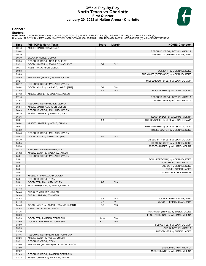### **Official Play-By-Play North Texas vs Charlotte First Quarter January 20, 2022 at Halton Arena - Charlotte**



### **Period 1**

<mark>Starters:</mark><br>North Texas: 0 NOBLE,QUINCY (G); 4 JACKSON,JAZION (G); 21 MALLARD,JAYLEN (F); 22 GAMEZ,ALY (G); 41 TOWNLEY,MADI (F);<br>Charlotte: 12 BOYKIN,MIKAYLA (G); 13 JETT-WILSON,OCTAVIA (G); 15 MCMILLIAN,JADA (G); 24 WILLI

| Time           | <b>VISITORS: North Texas</b>                                             | <b>Score</b>       | <b>Margin</b>  | <b>HOME: Charlotte</b>                 |
|----------------|--------------------------------------------------------------------------|--------------------|----------------|----------------------------------------|
| 09:48          | MISSED 3PTR by GAMEZ, ALY                                                |                    |                |                                        |
| 09:44          |                                                                          |                    |                | REBOUND (DEF) by BOYKIN, MIKAYLA       |
| 09:39          |                                                                          |                    |                | MISSED LAYUP by MCMILLIAN, JADA        |
| 09:39          | BLOCK by NOBLE, QUINCY                                                   |                    |                |                                        |
| 09:35          | REBOUND (DEF) by NOBLE, QUINCY                                           |                    |                |                                        |
| 09:31          | GOOD! JUMPER by TOWNLEY, MADI [PNT]                                      | $0 - 2$            | V <sub>2</sub> |                                        |
| 09:31          | ASSIST by JACKSON, JAZION                                                |                    |                |                                        |
| 09:03          |                                                                          |                    |                | FOUL (OFF) by MCKINNEY, KEKE           |
| 09:03          |                                                                          |                    |                | TURNOVER (OFFENSIVE) by MCKINNEY, KEKE |
| 08:49          | TURNOVER (TRAVEL) by NOBLE, QUINCY                                       |                    |                |                                        |
| 08:21          |                                                                          |                    |                | MISSED LAYUP by JETT-WILSON, OCTAVIA   |
| 08:17<br>08:04 | REBOUND (DEF) by MALLARD, JAYLEN<br>GOOD! LAYUP by MALLARD, JAYLEN [PNT] |                    | V <sub>4</sub> |                                        |
| 07:45          |                                                                          | $0 - 4$<br>$2 - 4$ | V <sub>2</sub> | GOOD! LAYUP by WILLIAMS, MOLINA        |
| 07:12          | MISSED JUMPER by MALLARD, JAYLEN                                         |                    |                |                                        |
| 07:10          |                                                                          |                    |                | REBOUND (DEF) by BOYKIN, MIKAYLA       |
| 07:02          |                                                                          |                    |                | MISSED 3PTR by BOYKIN, MIKAYLA         |
| 06:57          | REBOUND (DEF) by NOBLE, QUINCY                                           |                    |                |                                        |
| 06:54          | MISSED 3PTR by JACKSON, JAZION                                           |                    |                |                                        |
| 06:49          | REBOUND (OFF) by MALLARD, JAYLEN                                         |                    |                |                                        |
| 06:39          | MISSED JUMPER by TOWNLEY, MADI                                           |                    |                |                                        |
| 06:36          |                                                                          |                    |                | REBOUND (DEF) by WILLIAMS, MOLINA      |
| 06:21          |                                                                          | $4 - 4$            | $\mathsf{T}$   | GOOD! JUMPER by JETT-WILSON, OCTAVIA   |
| 06:04          | MISSED JUMPER by NOBLE, QUINCY                                           |                    |                |                                        |
| 06:01          |                                                                          |                    |                | REBOUND (DEF) by JETT-WILSON, OCTAVIA  |
| 05:52          |                                                                          |                    |                | MISSED JUMPER by MCKINNEY, KEKE        |
| 05:48          | REBOUND (DEF) by MALLARD, JAYLEN                                         |                    |                |                                        |
| 05:42          | GOOD! LAYUP by GAMEZ, ALY [FB]                                           | $4 - 6$            | V <sub>2</sub> |                                        |
| 05:30          |                                                                          |                    |                | MISSED 3PTR by JETT-WILSON, OCTAVIA    |
| 05:25          |                                                                          |                    |                | REBOUND (OFF) by MCKINNEY, KEKE        |
| 05:20          |                                                                          |                    |                | MISSED JUMPER by WILLIAMS, MOLINA      |
| 05:18          | REBOUND (DEF) by GAMEZ, ALY                                              |                    |                |                                        |
| 05:02          | MISSED LAYUP by MALLARD, JAYLEN                                          |                    |                |                                        |
| 05:01          | REBOUND (OFF) by MALLARD, JAYLEN                                         |                    |                |                                        |
| 05:01          |                                                                          |                    |                | FOUL (PERSONAL) by MCKINNEY, KEKE      |
| 05:01          |                                                                          |                    |                | SUB OUT: BOYKIN, MIKAYLA               |
| 05:01          |                                                                          |                    |                | SUB OUT: MCKINNEY, KEKE                |
| 05:01          |                                                                          |                    |                | SUB IN: BUSICK, JACEE                  |
| 05:01          |                                                                          |                    |                | SUB IN: ROACH, KAMERON                 |
| 05:01          | MISSED FT by MALLARD, JAYLEN                                             |                    |                |                                        |
| 05:01<br>05:01 | REBOUND (OFF) by TEAM<br>GOOD! FT by MALLARD, JAYLEN                     | $4 - 7$            | $V_3$          |                                        |
| 04:48          | FOUL (PERSONAL) by NOBLE, QUINCY                                         |                    |                |                                        |
| 04:48          |                                                                          |                    |                |                                        |
| 04:48          | SUB OUT: MALLARD, JAYLEN                                                 |                    |                |                                        |
| 04:48          | SUB IN: LAMPKIN, TOMMISHA                                                |                    |                |                                        |
| 04:48          |                                                                          | $5 - 7$            | V <sub>2</sub> | GOOD! FT by MCMILLIAN, JADA            |
| 04:48          |                                                                          | $6 - 7$            | V <sub>1</sub> | GOOD! FT by MCMILLIAN, JADA            |
| 04:48          | GOOD! LAYUP by LAMPKIN, TOMMISHA [PNT]                                   | $6-9$              | $V_3$          |                                        |
| 04:48          | ASSIST by JACKSON, JAZION                                                |                    |                |                                        |
| 04:36          |                                                                          |                    |                | TURNOVER (TRAVEL) by BUSICK, JACEE     |
| 03:59          |                                                                          |                    |                | FOUL (PERSONAL) by WILLIAMS, MOLINA    |
| 03:59          | GOOD! FT by LAMPKIN, TOMMISHA                                            | $6 - 10$           | V <sub>4</sub> |                                        |
| 03:59          | GOOD! FT by LAMPKIN, TOMMISHA                                            | $6 - 11$           | V <sub>5</sub> |                                        |
| 03:59          |                                                                          |                    |                | SUB OUT: JETT-WILSON, OCTAVIA          |
| 03:59          |                                                                          |                    |                | SUB IN: BOYKIN, MIKAYLA                |
| 03:50          |                                                                          |                    |                | MISSED 3PTR by BUSICK, JACEE           |
| 03:46          | REBOUND (DEF) by LAMPKIN, TOMMISHA                                       |                    |                |                                        |
| 03:26          | MISSED LAYUP by NOBLE, QUINCY                                            |                    |                |                                        |
| 03:21          | REBOUND (OFF) by TEAM                                                    |                    |                |                                        |
| 03:00          | TURNOVER (BADPASS) by JACKSON, JAZION                                    |                    |                |                                        |
| 03:00          |                                                                          |                    |                | STEAL by BOYKIN, MIKAYLA               |
| 02:52          |                                                                          |                    |                | MISSED LAYUP by WILLIAMS, MOLINA       |
| 02:49          | REBOUND (DEF) by LAMPKIN, TOMMISHA                                       |                    |                |                                        |
| 02:32          | MISSED JUMPER by JACKSON, JAZION                                         |                    |                |                                        |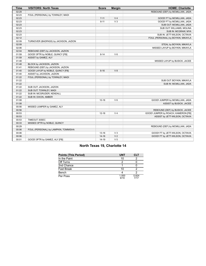| <b>Time</b> | <b>VISITORS: North Texas</b>          | <b>Score</b> | <b>Margin</b>  | <b>HOME: Charlotte</b>              |
|-------------|---------------------------------------|--------------|----------------|-------------------------------------|
| 02:29       |                                       |              |                | REBOUND (DEF) by MCMILLIAN, JADA    |
| 02:23       | FOUL (PERSONAL) by TOWNLEY, MADI      |              |                |                                     |
| 02:23       |                                       | $7 - 11$     | V <sub>4</sub> | GOOD! FT by MCMILLIAN, JADA         |
| 02:23       |                                       | $8 - 11$     | $V_3$          | GOOD! FT by MCMILLIAN, JADA         |
| 02:23       |                                       |              |                | SUB OUT: MCMILLIAN, JADA            |
| 02:23       |                                       |              |                | SUB OUT: WILLIAMS, MOLINA           |
| 02:23       |                                       |              |                | SUB IN: MCGRAW, MYA                 |
| 02:23       |                                       |              |                | SUB IN: JETT-WILSON, OCTAVIA        |
| 02:12       |                                       |              |                | FOUL (PERSONAL) by BOYKIN, MIKAYLA  |
| 02:09       | TURNOVER (BADPASS) by JACKSON, JAZION |              |                |                                     |
| 02:09       |                                       |              |                | STEAL by BOYKIN, MIKAYLA            |
| 02:06       |                                       |              |                | MISSED LAYUP by BOYKIN, MIKAYLA     |
| 02:04       | REBOUND (DEF) by JACKSON, JAZION      |              |                |                                     |
| 01:59       | GOOD! 3PTR by NOBLE, QUINCY [FB]      | $8 - 14$     | $V_6$          |                                     |
| 01:59       | ASSIST by GAMEZ, ALY                  |              |                |                                     |
| 01:48       |                                       |              |                | MISSED LAYUP by BUSICK, JACEE       |
| 01:48       | BLOCK by JACKSON, JAZION              |              |                |                                     |
| 01:41       | REBOUND (DEF) by JACKSON, JAZION      |              |                |                                     |
| 01:40       | GOOD! LAYUP by NOBLE, QUINCY [FB]     | $8 - 16$     | V8             |                                     |
| 01:40       | ASSIST by JACKSON, JAZION             |              |                |                                     |
| 01:22       | FOUL (PERSONAL) by TOWNLEY, MADI      |              |                |                                     |
| 01:22       |                                       |              |                | SUB OUT: BOYKIN, MIKAYLA            |
| 01:22       |                                       |              |                | SUB IN: MCMILLIAN, JADA             |
| 01:22       | SUB OUT: JACKSON, JAZION              |              |                |                                     |
| 01:22       | SUB OUT: TOWNLEY, MADI                |              |                |                                     |
| 01:22       | SUB IN: MCGRUDER, KENDALL             |              |                |                                     |
| 01:22       | SUB IN: DIXON, AMBER                  |              |                |                                     |
| 01:08       |                                       | $10 - 16$    | $V_6$          | GOOD! JUMPER by MCMILLIAN, JADA     |
| 01:08       |                                       |              |                | ASSIST by BUSICK, JACEE             |
| 00:56       | MISSED JUMPER by GAMEZ, ALY           |              |                |                                     |
| 00:56       |                                       |              |                | REBOUND (DEF) by BUSICK, JACEE      |
| 00:53       |                                       | $12 - 16$    | V <sub>4</sub> | GOOD! JUMPER by ROACH, KAMERON [FB] |
| 00:53       |                                       |              |                | ASSIST by JETT-WILSON, OCTAVIA      |
| 00:53       | TIMEOUT 30SEC                         |              |                |                                     |
| 00:33       | MISSED 3PTR by NOBLE, QUINCY          |              |                |                                     |
| 00:29       |                                       |              |                | REBOUND (DEF) by MCMILLIAN, JADA    |
| 00:06       | FOUL (PERSONAL) by LAMPKIN, TOMMISHA  |              |                |                                     |
| 00:06       |                                       | $13 - 16$    | V <sub>3</sub> | GOOD! FT by JETT-WILSON, OCTAVIA    |
| 00:06       |                                       | $14 - 16$    | V <sub>2</sub> | GOOD! FT by JETT-WILSON, OCTAVIA    |
| 00:01       | GOOD! 3PTR by GAMEZ, ALY [FB]         | 14-19        | V <sub>5</sub> |                                     |

### **North Texas 19, Charlotte 14**

| <b>Points (This Period)</b> | UNT           | <b>CLT</b>    |
|-----------------------------|---------------|---------------|
| In the Paint                | 10            |               |
| Off Turns                   | າ             |               |
| 2nd Chance                  |               |               |
| Fast Break                  | 10            |               |
| Bench                       |               |               |
| Per Poss                    | 1.000<br>9/19 | 0.824<br>7/17 |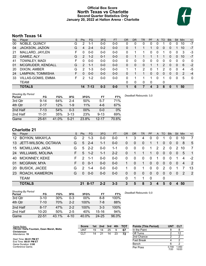### **Official Box Score North Texas vs Charlotte Second Quarter Statistics Only January 20, 2022 at Halton Arena - Charlotte**



### **North Texas 14**

| No. | Plaver                    | S | <b>Pts</b>     | <b>FG</b> | 3FG     | <b>FT</b> | <b>OR</b> | DR           | TR | PF | A        | TO | <b>B</b> lk | Stl          | Min | $+/-$        |
|-----|---------------------------|---|----------------|-----------|---------|-----------|-----------|--------------|----|----|----------|----|-------------|--------------|-----|--------------|
| 00  | NOBLE, QUINCY             | G | 2              | $1 - 1$   | $0 - 0$ | $0 - 0$   | 0         | 0            | 0  | 0  | $\Omega$ |    | 0           | $\Omega$     | 10  | $-7$         |
| 04  | JACKSON, JAZION           | G | 4              | $2 - 4$   | $0 - 2$ | $0-0$     | 0         |              |    |    | 0        | 0  | 0           |              | 10  | $-7$         |
| 21  | MALLARD, JAYLEN           | F | 0              | $0 - 0$   | $0 - 0$ | $0 - 0$   | 0         |              | 1  | 0  | $\Omega$ |    | 0           | $\Omega$     | 3   | -3           |
| 22  | GAMEZ, ALY                | G | 2              | $1 - 2$   | $0 - 1$ | $0 - 0$   | $\Omega$  |              |    |    |          |    | 0           | $\Omega$     | 10  | $-7$         |
| 41  | TOWNLEY, MADI             | F | 0              | $0 - 0$   | $0 - 0$ | $0 - 0$   | 0         | 0            | 0  | 0  | $\Omega$ | 0  | 0           | 0            | 0   | 0            |
| 01  | MCGRUDER, KENDALL         | G | $\overline{2}$ | $1 - 1$   | $0 - 0$ | $0 - 0$   | $\Omega$  | 0            | 0  |    |          | 2  | 0           | $\Omega$     | 6   | $-2$         |
| 20  | DIXON, AMBER              | G | 2              | 1-3       | $0 - 0$ | $0 - 0$   |           |              | 2  | 0  |          | 2  | 0           | 0            | 4   | -5           |
| 24  | LAMPKIN, TOMMISHA         | F | 0              | $0 - 0$   | $0 - 0$ | $0 - 0$   | $\Omega$  |              |    | 0  | $\Omega$ | 0  | 0           | $\mathbf{0}$ | 2   | $-4$         |
| 33  | <b>VILLAS-GOMIS, EMMA</b> | F | 2              | $1 - 2$   | $0-0$   | $0 - 0$   | 0         |              |    | 1  | 0        |    | 0           | $\mathbf 0$  | 5   | $\mathbf{0}$ |
|     | TEAM                      |   |                |           |         |           | 0         | $\mathbf{0}$ | 0  | 0  |          | 0  |             |              |     |              |
|     | <b>TOTALS</b>             |   | 14             | $7 - 13$  | $0 - 3$ | $0 - 0$   |           | 6            | 7  | 4  | 3        | 8  | 0           |              | 50  |              |

| <b>Shooting By Period</b><br>Period | FG        | FG%   | 3FG      | 3FG%   | FT        | FT%   | Deadball Rebounds: 3,0 |
|-------------------------------------|-----------|-------|----------|--------|-----------|-------|------------------------|
| 3rd Qtr                             | $9 - 14$  | 64%   | $2 - 4$  | 50%    | $5 - 7$   | 71%   |                        |
| 4th Qtr                             | $2 - 17$  | 12%   | 1-9      | 11%    | $4-6$     | 67%   |                        |
| 2nd Half                            | $7 - 13$  | 54%   | $0 - 3$  | $00\%$ | 0-0       | 0%    |                        |
| 2nd Half                            | $11 - 31$ | 35%   | $3 - 13$ | 23%    | $9 - 13$  | 69%   |                        |
| Game                                | $25 - 61$ | 41.0% | 5-21     | 23.8%  | $12 - 17$ | 70.6% |                        |

### **Charlotte 21**

| No. | Player                  | S | <b>Pts</b>    | <b>FG</b> | 3FG     | <b>FT</b> | <b>OR</b> | <b>DR</b>   | TR           | PF       | A        | TO       | <b>Blk</b> | Stl            | Min            | $+/-$          |
|-----|-------------------------|---|---------------|-----------|---------|-----------|-----------|-------------|--------------|----------|----------|----------|------------|----------------|----------------|----------------|
| 12  | <b>BOYKIN, MIKAYLA</b>  | G | 2             | $1 - 3$   | $0 - 0$ | $0 - 0$   | 1         | 3           | 4            | $\Omega$ | 0        |          | 0          | 0              | 10             | 7              |
| 13  | JETT-WILSON, OCTAVIA    | G | 5             | $2 - 4$   | $1 - 1$ | $0 - 0$   | 0         | $\Omega$    | $\mathbf{0}$ |          |          | 0        | 0          | $\overline{0}$ | 8              | 5              |
| 15  | <b>MCMILLIAN, JADA</b>  | G | 5             | $2 - 2$   | $0 - 0$ | $1 - 1$   | 0         | $\mathbf 0$ | $\mathbf{0}$ | 1        | 2        | 2        | 0          | 2              | 10             | 7              |
| 24  | <b>WILLIAMS, MOLINA</b> | F | 5             | $1 - 2$   | 1-1     | $2 - 2$   | 0         |             |              |          | $\Omega$ | $\Omega$ | 0          | $\overline{0}$ | 5              | $\overline{1}$ |
| 40  | MCKINNEY, KEKE          | F | $\mathcal{P}$ | $1 - 1$   | $0-0$   | $0 - 0$   | 0         | $\Omega$    | $\Omega$     | $\Omega$ | 1        | $\Omega$ | $\Omega$   |                | 4              | $-2$           |
| 01  | MCGRAW, MYA             | F | 0             | $0 - 1$   | $0 - 0$ | $0 - 0$   |           | 0           | 1            | $\Omega$ | $\Omega$ | $\Omega$ | $\Omega$   | $\Omega$       | $\overline{4}$ | 2              |
| 20  | <b>BUSICK, JACEE</b>    | G | $\mathcal{P}$ | $1 - 4$   | $0-0$   | $0 - 0$   |           | 0           |              | 0        | 0        | 2        | 0          |                |                | 13             |
| 23  | ROACH, KAMERON          | G | 0             | $0 - 0$   | $0 - 0$ | $0 - 0$   | $\Omega$  | $\Omega$    | $\Omega$     | $\Omega$ | $\Omega$ | $\Omega$ | $\Omega$   | $\overline{0}$ | 2              | 2              |
|     | <b>TEAM</b>             |   |               |           |         |           | 0         |             |              | $\Omega$ |          | 0        |            |                |                |                |
|     | <b>TOTALS</b>           |   | 21            | 8-17      | $2 - 2$ | $3 - 3$   | 3         | 5           | 8            | 3        | 4        | 5        | $\bf{0}$   | 4              | 50             |                |

| <b>Shooting By Period</b><br>Period | FG        | FG%   | 3FG      | 3FG%   | FT      | FT%   | Deadball Rebounds: 0,0 |
|-------------------------------------|-----------|-------|----------|--------|---------|-------|------------------------|
| 3rd Qtr                             | $3 - 10$  | 30%   | 0-3      | $00\%$ | 8-8     | 100%  |                        |
| 4th Qtr                             | $7 - 10$  | 70%   | $2 - 2$  | 100%   | 7-8     | 88%   |                        |
| 2nd Half                            | $8 - 17$  | 47%   | $2 - 2$  | 100%   | $3 - 3$ | 100%  |                        |
| 2nd Half                            | $10 - 20$ | 50%   | $2 - 5$  | 40%    | 15-16   | 94%   |                        |
| Game                                | $22 - 51$ | 43.1% | $4 - 10$ | 40.0%  | 24-25   | 96.0% |                        |

| Game Notes:                                                 | <b>Score</b> | 1st l | 2nd | 3rd | 4th | тот | <b>Points (This Period)</b> | UN1           | <b>CLT</b>     |
|-------------------------------------------------------------|--------------|-------|-----|-----|-----|-----|-----------------------------|---------------|----------------|
| Officials: Carla Fountain, Dawn Marsh, Metta<br>Christensen | UNT          | 19    | 14  | 25  |     | 67  | In the Paint                |               |                |
| Attendance: 19                                              | CLT          | 14    |     | 14  | 23  | 72  | Off Turns                   |               | 12             |
|                                                             |              |       |     |     |     |     | 2nd Chance                  |               |                |
| Start Time: 06:01 PM ET<br>End Time: 08:01 PM ET            |              |       |     |     |     |     | <b>Fast Break</b>           |               |                |
| Game Duration: 2:00                                         |              |       |     |     |     |     | Bench                       |               |                |
| Conference Game:                                            |              |       |     |     |     |     | Per Poss                    | 0.700<br>7/20 | 1.050<br>10/20 |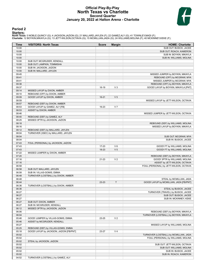### **Official Play-By-Play North Texas vs Charlotte Second Quarter January 20, 2022 at Halton Arena - Charlotte**



### **Period 2**

<mark>Starters:</mark><br>North Texas: 0 NOBLE,QUINCY (G); 4 JACKSON,JAZION (G); 21 MALLARD,JAYLEN (F); 22 GAMEZ,ALY (G); 41 TOWNLEY,MADI (F);<br>Charlotte: 12 BOYKIN,MIKAYLA (G); 13 JETT-WILSON,OCTAVIA (G); 15 MCMILLIAN,JADA (G); 24 WILLI

| Time           | <b>VISITORS: North Texas</b>            | <b>Score</b> | <b>Margin</b>  | <b>HOME: Charlotte</b>                                                        |
|----------------|-----------------------------------------|--------------|----------------|-------------------------------------------------------------------------------|
| 10:00          |                                         |              |                | SUB OUT: BUSICK, JACEE                                                        |
| 10:00          |                                         |              |                | SUB OUT: ROACH, KAMERON                                                       |
| 10:00          |                                         |              |                | SUB IN: BOYKIN, MIKAYLA                                                       |
| 10:00          |                                         |              |                | SUB IN: WILLIAMS, MOLINA                                                      |
| 10:00          | SUB OUT: MCGRUDER, KENDALL              |              |                |                                                                               |
| 10:00          | SUB OUT: LAMPKIN, TOMMISHA              |              |                |                                                                               |
| 10:00          | SUB IN: JACKSON, JAZION                 |              |                |                                                                               |
| 10:00          | SUB IN: MALLARD, JAYLEN                 |              |                |                                                                               |
| 09:45          |                                         |              |                | MISSED JUMPER by BOYKIN, MIKAYLA                                              |
| 09:41<br>09:41 |                                         |              |                | REBOUND (OFF) by MCGRAW, MYA<br>MISSED JUMPER by MCGRAW, MYA                  |
| 09:38          |                                         |              |                | REBOUND (OFF) by BOYKIN, MIKAYLA                                              |
| 09:37          |                                         | 16-19        | $V_3$          | GOOD! LAYUP by BOYKIN, MIKAYLA [PNT]                                          |
| 09:14          | MISSED LAYUP by DIXON, AMBER            |              |                |                                                                               |
| 09:10          | REBOUND (OFF) by DIXON, AMBER           |              |                |                                                                               |
| 09:09          | GOOD! LAYUP by DIXON, AMBER             | $16 - 21$    | V <sub>5</sub> |                                                                               |
| 08:59          |                                         |              |                | MISSED LAYUP by JETT-WILSON, OCTAVIA                                          |
| 08:57          | REBOUND (DEF) by DIXON, AMBER           |              |                |                                                                               |
| 08:53          | GOOD! LAYUP by GAMEZ, ALY [FB]          | 16-23        | V <sub>7</sub> |                                                                               |
| 08:53          | ASSIST by DIXON, AMBER                  |              |                |                                                                               |
| 08:46          |                                         |              |                | MISSED JUMPER by JETT-WILSON, OCTAVIA                                         |
| 08:40          | REBOUND (DEF) by GAMEZ, ALY             |              |                |                                                                               |
| 08:25          | MISSED 3PTR by JACKSON, JAZION          |              |                |                                                                               |
| 08:18          |                                         |              |                | REBOUND (DEF) by WILLIAMS, MOLINA                                             |
| 08:16          |                                         |              |                | MISSED LAYUP by BOYKIN, MIKAYLA                                               |
| 08:12          | REBOUND (DEF) by MALLARD, JAYLEN        |              |                |                                                                               |
| 08:04          | TURNOVER (3SEC) by MALLARD, JAYLEN      |              |                |                                                                               |
| 08:04          |                                         |              |                | SUB OUT: MCGRAW, MYA                                                          |
| 08:04          |                                         |              |                | SUB IN: BUSICK, JACEE                                                         |
| 07:43          | FOUL (PERSONAL) by JACKSON, JAZION      |              |                |                                                                               |
| 07:43          |                                         | 17-23        | $V_6$          | GOOD! FT by WILLIAMS, MOLINA                                                  |
| 07:43          |                                         | 18-23        | V <sub>5</sub> | GOOD! FT by WILLIAMS, MOLINA                                                  |
| 07:22<br>07:20 | MISSED JUMPER by DIXON, AMBER           |              |                | REBOUND (DEF) by BOYKIN, MIKAYLA                                              |
| 07:16          |                                         | 21-23        | V <sub>2</sub> | GOOD! 3PTR by WILLIAMS, MOLINA                                                |
| 07:16          |                                         |              |                | ASSIST by JETT-WILSON, OCTAVIA                                                |
| 06:58          |                                         |              |                | FOUL (PERSONAL) by JETT-WILSON, OCTAVIA                                       |
| 06:58          | SUB OUT: MALLARD, JAYLEN                |              |                |                                                                               |
| 06:58          | SUB IN: VILLAS-GOMIS, EMMA              |              |                |                                                                               |
| 06:48          | TURNOVER (LOSTBALL) by DIXON, AMBER     |              |                |                                                                               |
| 06:48          |                                         |              |                | STEAL by MCMILLIAN, JADA                                                      |
| 06:44          |                                         | 23-23        | $\mathsf{T}$   | GOOD! LAYUP by MCMILLIAN, JADA [FB/PNT]                                       |
| 06:36          | TURNOVER (LOSTBALL) by DIXON, AMBER     |              |                |                                                                               |
| 06:36          |                                         |              |                | STEAL by BUSICK, JACEE                                                        |
| 06:27          |                                         |              |                | TURNOVER (TRAVEL) by BUSICK, JACEE                                            |
| 06:27          |                                         |              |                | SUB OUT: BUSICK, JACEE                                                        |
| 06:27          |                                         |              |                | SUB IN: MCKINNEY, KEKE                                                        |
| 06:27          | SUB OUT: DIXON, AMBER                   |              |                |                                                                               |
| 06:27          | SUB IN: MCGRUDER, KENDALL               |              |                |                                                                               |
| 06:12          | MISSED 3PTR by JACKSON, JAZION          |              |                |                                                                               |
| 06:06          |                                         |              |                | REBOUND (DEF) by BOYKIN, MIKAYLA                                              |
| 06:04          |                                         |              |                | TURNOVER (LOSTBALL) by BOYKIN, MIKAYLA                                        |
| 05:46          | GOOD! JUMPER by VILLAS-GOMIS, EMMA      | 23-25        | V <sub>2</sub> |                                                                               |
| 05:46          | ASSIST by MCGRUDER, KENDALL             |              |                |                                                                               |
| 05:27          |                                         |              |                | MISSED LAYUP by WILLIAMS, MOLINA                                              |
| 05:25          | REBOUND (DEF) by VILLAS-GOMIS, EMMA     |              |                |                                                                               |
| 05:18<br>05:02 | GOOD! LAYUP by JACKSON, JAZION [FB/PNT] | 23-27        | V <sub>4</sub> |                                                                               |
| 05:02          |                                         |              |                | TURNOVER (LOSTBALL) by MCMILLIAN, JADA<br>FOUL (PERSONAL) by WILLIAMS, MOLINA |
| 05:02          | STEAL by JACKSON, JAZION                |              |                |                                                                               |
| 05:02          |                                         |              |                | SUB OUT: JETT-WILSON, OCTAVIA                                                 |
| 05:02          |                                         |              |                | SUB OUT: WILLIAMS, MOLINA                                                     |
| 05:02          |                                         |              |                | SUB IN: BUSICK, JACEE                                                         |
| 05:02          |                                         |              |                | SUB IN: ROACH, KAMERON                                                        |
| 04:52          | TURNOVER (LOSTBALL) by GAMEZ, ALY       |              |                |                                                                               |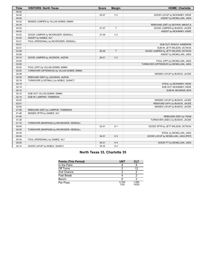| <b>Time</b> | <b>VISITORS: North Texas</b>               | <b>Score</b> | <b>Margin</b>  | <b>HOME: Charlotte</b>                  |
|-------------|--------------------------------------------|--------------|----------------|-----------------------------------------|
| 04:52       |                                            |              |                |                                         |
| 04:40       |                                            | 25-27        | V <sub>2</sub> | GOOD! LAYUP by MCKINNEY, KEKE           |
| 04:40       |                                            |              |                | ASSIST by MCMILLIAN, JADA               |
| 04:23       | MISSED JUMPER by VILLAS-GOMIS, EMMA        |              |                |                                         |
| 04:18       |                                            |              |                | REBOUND (DEF) by BOYKIN, MIKAYLA        |
| 04:03       |                                            | $27 - 27$    | T.             | GOOD! JUMPER by BUSICK, JACEE           |
| 04:03       |                                            |              |                | ASSIST by MCKINNEY, KEKE                |
| 03:42       | GOOD! JUMPER by MCGRUDER, KENDALL          | 27-29        | V <sub>2</sub> |                                         |
| 03:42       | ASSIST by GAMEZ, ALY                       |              |                |                                         |
| 03:31       | FOUL (PERSONAL) by MCGRUDER, KENDALL       |              |                |                                         |
| 03:31       |                                            |              |                | SUB OUT: ROACH, KAMERON                 |
| 03:31       |                                            |              |                | SUB IN: JETT-WILSON, OCTAVIA            |
| 03:28       |                                            | 29-29        | T.             | GOOD! JUMPER by JETT-WILSON, OCTAVIA    |
| 03:28       |                                            |              |                | ASSIST by MCMILLIAN, JADA               |
| 03:10       | GOOD! JUMPER by JACKSON, JAZION            | 29-31        | V <sub>2</sub> |                                         |
| 03:00       |                                            |              |                | FOUL (OFF) by MCMILLIAN, JADA           |
| 03:00       |                                            |              |                | TURNOVER (OFFENSIVE) by MCMILLIAN, JADA |
| 02:52       | FOUL (OFF) by VILLAS-GOMIS, EMMA           |              |                |                                         |
| 02:52       | TURNOVER (OFFENSIVE) by VILLAS-GOMIS, EMMA |              |                |                                         |
| 02:36       |                                            |              |                | MISSED LAYUP by BUSICK, JACEE           |
| 02:30       | REBOUND (DEF) by JACKSON, JAZION           |              |                |                                         |
| 02:19       | TURNOVER (LOSTBALL) by NOBLE, QUINCY       |              |                |                                         |
| 02:19       |                                            |              |                | STEAL by MCKINNEY, KEKE                 |
| 02:15       |                                            |              |                | SUB OUT: MCKINNEY, KEKE                 |
| 02:15       |                                            |              |                | SUB IN: MCGRAW, MYA                     |
| 02:15       | SUB OUT: VILLAS-GOMIS, EMMA                |              |                |                                         |
| 02:15       | SUB IN: LAMPKIN, TOMMISHA                  |              |                |                                         |
| 02:03       |                                            |              |                | MISSED LAYUP by BUSICK, JACEE           |
| 02:01       |                                            |              |                | REBOUND (OFF) by BUSICK, JACEE          |
| 02:00       |                                            |              |                | MISSED LAYUP by BUSICK, JACEE           |
| 01:58       | REBOUND (DEF) by LAMPKIN, TOMMISHA         |              |                |                                         |
| 01:48       | MISSED 3PTR by GAMEZ, ALY                  |              |                |                                         |
| 01:45       |                                            |              |                | REBOUND (DEF) by TEAM                   |
| 01:28       |                                            |              |                | TURNOVER (3SEC) by BUSICK, JACEE        |
| 01:10       | TURNOVER (BADPASS) by MCGRUDER, KENDALL    |              |                |                                         |
| 00:44       |                                            | 32-31        | H <sub>1</sub> | GOOD! 3PTR by JETT-WILSON, OCTAVIA      |
| 00:35       | TURNOVER (BADPASS) by MCGRUDER, KENDALL    |              |                |                                         |
| 00:35       |                                            |              |                | STEAL by MCMILLIAN, JADA                |
| 00:34       |                                            | $34-31$      | $H_3$          | GOOD! LAYUP by MCMILLIAN, JADA [PNT]    |
| 00:34       | FOUL (PERSONAL) by GAMEZ, ALY              |              |                |                                         |
| 00:34       |                                            | $35 - 31$    | H4             | GOOD! FT by MCMILLIAN, JADA             |
| 00:14       | GOOD! LAYUP by NOBLE, QUINCY               | 35-33        | H <sub>2</sub> |                                         |

### **North Texas 33, Charlotte 35**

| <b>Points (This Period)</b> | <b>UNT</b>    | <b>CLT</b>     |
|-----------------------------|---------------|----------------|
| In the Paint                |               |                |
| Off Turns                   |               | 12             |
| 2nd Chance                  |               |                |
| <b>Fast Break</b>           |               |                |
| Bench                       |               |                |
| Per Poss                    | 0.700<br>7/20 | 1.050<br>10/20 |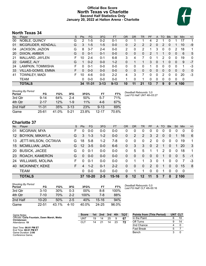### **Official Box Score North Texas vs Charlotte Second Half Statistics Only January 20, 2022 at Halton Arena - Charlotte**



### **North Texas 34**

| No. | Plaver                    | S  | <b>Pts</b> | <b>FG</b> | 3FG      | <b>FT</b> | <b>OR</b> | <b>DR</b> | TR | <b>PF</b> | A | TO       | <b>Blk</b> | Stl      | <b>Min</b> | $+/-$        |
|-----|---------------------------|----|------------|-----------|----------|-----------|-----------|-----------|----|-----------|---|----------|------------|----------|------------|--------------|
| 00  | NOBLE, QUINCY             | G  | 2          | $1 - 5$   | $0 - 2$  | $0 - 1$   | 0         |           |    | 4         | 2 |          |            |          | 17         | 1            |
| 01  | MCGRUDER, KENDALL         | G  | 3          | $1 - 5$   | $1 - 5$  | $0 - 0$   | 0         | 2         | 2  | 2         | 0 | 2        | 0          |          | 10         | -9           |
| 04  | JACKSON, JAZION           | G  | 8          | $3 - 7$   | $2 - 4$  | $0-0$     | 2         | 0         | 2  |           | 3 | $\Omega$ | 0          | 2        | 18         | 1            |
| 20  | DIXON, AMBER              | G  | $\Omega$   | $0 - 1$   | $0 - 1$  | $0 - 0$   | 0         | 0         | 0  | 2         |   |          | 0          | 0        | 6          | 5            |
| 21  | MALLARD, JAYLEN           |    | 10         | $2 - 4$   | $0 - 1$  | $6 - 8$   | 3         | 4         |    |           |   | 2        | $\Omega$   | 0        | 19         | $\mathbf{0}$ |
| 22  | GAMEZ, ALY                | G  |            | $0 - 2$   | $0 - 0$  | $1 - 2$   | 0         |           |    | 3         | 0 |          | 0          | $\Omega$ | 9          | $-7$         |
| 24  | LAMPKIN, TOMMISHA         |    | $\Omega$   | $0 - 1$   | $0 - 0$  | $0 - 0$   | 0         | 0         | 0  |           | 0 | 0        | 0          | 0        | 1          | -3           |
| 33  | <b>VILLAS-GOMIS, EMMA</b> | F. | 0          | $0 - 0$   | $0 - 0$  | $0 - 0$   | 0         | $\Omega$  | 0  | 0         | 0 | $\Omega$ | $\Omega$   | 0        | $\Omega$   | 0            |
| 41  | TOWNLEY, MADI             | F. | 10         | 4-6       | $0 - 0$  | $2 - 2$   | 4         | 3         | 7  | 0         | 0 | 2        | 0          | 0        | 20         | $-3$         |
|     | <b>TEAM</b>               |    | 0          | $0 - 0$   | $0 - 0$  | $0 - 0$   |           | $\Omega$  |    | 0         | 0 | 0        | $\Omega$   | 0        | 0          |              |
|     | <b>TOTALS</b>             |    | 34         | $11 - 31$ | $3 - 13$ | $9 - 13$  | 10        | 11        | 21 | 13        |   | 9        | $\Omega$   | 4        | 100        |              |

| <b>Shooting By Period</b><br>Period | FG        | FG%   | 3FG      | 3FG%  | FT        | FT%   | Deadball Rebounds: 3,0<br>Last FG Half: UNT 4th-03:27 |
|-------------------------------------|-----------|-------|----------|-------|-----------|-------|-------------------------------------------------------|
| 3rd Qtr                             | $9 - 14$  | 64%   | $2 - 4$  | 50%   | $-5 - 7$  | 71%   |                                                       |
| 4th Qtr                             | $2 - 17$  | 12%   | $1 - 9$  | 11%   | $4-6$     | 67%   |                                                       |
| 2nd Half                            | $11 - 31$ | 35%   | $3 - 13$ | 23%   | $9 - 13$  | 69%   |                                                       |
| Game                                | $25 - 61$ | 41.0% | $5 - 21$ | 23.8% | $12 - 17$ | 70.6% |                                                       |

### **Charlotte 37**

| No.             | Player                  | S  | <b>Pts</b> | FG.       | 3FG     | <b>FT</b> | OR           | <b>DR</b> | TR                    | PF             | A        | <b>TO</b>    | <b>Blk</b>     | Stl      | Min   | $+/-$        |
|-----------------|-------------------------|----|------------|-----------|---------|-----------|--------------|-----------|-----------------------|----------------|----------|--------------|----------------|----------|-------|--------------|
| 01              | MCGRAW, MYA             | F. | 0          | $0-0$     | $0 - 0$ | $0 - 0$   | 0            | 0         | 0                     | 0              | 0        | 0            | $\Omega$       | 0        | 0     | $\mathbf{0}$ |
| 12 <sup>°</sup> | <b>BOYKIN, MIKAYLA</b>  | G  | 3          | $1 - 3$   | $1 - 2$ | $0 - 0$   | $\Omega$     | 2         | $\mathbf{2}^{\prime}$ | 3              | 2        | $\mathbf{0}$ | $\overline{0}$ |          | 16    | 6            |
| 13              | JETT-WILSON, OCTAVIA    | G  | 18         | $5 - 8$   | $1 - 2$ | $7-8$     | 0            | 0         | $\mathbf{0}$          | $\overline{2}$ | $\Omega$ | $\Omega$     | $\Omega$       | 0        | 19    | 1            |
| 15              | <b>MCMILLIAN, JADA</b>  | G  | 12         | $3-5$     | $0 - 0$ | $6 - 6$   | $\mathbf{0}$ | 3         | 3                     | $\mathbf{0}$   | 2        | 1            | $\Omega$       |          | 20    | 3            |
| 20              | <b>BUSICK, JACEE</b>    | G  | $\Omega$   | $0 - 1$   | $0-0$   | $0 - 0$   | 0            | 5         | 5                     | 1              |          | 2            | $\Omega$       | 0        | 18    | 1            |
| <b>23</b>       | ROACH, KAMERON          | G  | $\Omega$   | $0 - 0$   | $0 - 0$ | $0 - 0$   | $\Omega$     | 0         | $\mathbf{0}$          | $\Omega$       | 0        | 1            | $\Omega$       | 0        | 5     | $-1$         |
| 24              | <b>WILLIAMS, MOLINA</b> | F  | $\Omega$   | $0 - 1$   | $0 - 0$ | $0 - 0$   | $\Omega$     | 1         |                       | 3              | $\Omega$ | 1            | $\Omega$       | $\Omega$ | 7     | -3           |
| 40              | <b>MCKINNEY, KEKE</b>   | F  | 4          | $1 - 2$   | $0 - 1$ | $2 - 2$   | $\Omega$     | 0         | $\overline{0}$        | 2              | $\Omega$ | 1            | $\Omega$       | $\Omega$ | 15    | -8           |
|                 | <b>TEAM</b>             |    | 0          | $0 - 0$   | $0-0$   | $0 - 0$   | $\Omega$     | 1         |                       | $\Omega$       | $\Omega$ | 1            | $\Omega$       | $\Omega$ | -0    |              |
|                 | <b>TOTALS</b>           |    | 37         | $10 - 20$ | 2-5     | 15-16     | 0            | $12 \,$   | 12                    | 11             | 5        | 7            | 0              |          | 2 100 |              |

| <b>Shooting By Period</b><br>Period | FG        | FG%   | 3FG      | 3FG%  | FT        | FT%   |
|-------------------------------------|-----------|-------|----------|-------|-----------|-------|
| 3rd Otr                             | $3 - 10$  | 30%   | $0 - 3$  | 00%   | 8-8       | 100%  |
| 4th Otr                             | $7 - 10$  | 70%   | $2-2$    | 100%  | 7-8       | 88%   |
| 2nd Half                            | $10 - 20$ | 50%   | $2-5$    | 40%   | $15 - 16$ | 94%   |
| Game                                | 22-51     | 43.1% | $4 - 10$ | 40.0% | $24 - 25$ | 96.0% |

*Deadball Rebounds:* 0,0 *Last FG Half:* CLT 4th-00:16

| Game Notes:                                                 | <b>Score</b> | 1st | 2nd | 3rd | 4th | <b>TOT</b> | <b>Points from (This Period)</b> | UNT CLT |    |
|-------------------------------------------------------------|--------------|-----|-----|-----|-----|------------|----------------------------------|---------|----|
| Officials: Carla Fountain, Dawn Marsh, Metta<br>Christensen | UNT          | 19  | 14  | 25  |     | 67         | In the Paint                     |         | 10 |
| Attendance: 19                                              | CLT          | 14  | 21  | 14  | 23  | 72         | Off Turns                        |         | 14 |
|                                                             |              |     |     |     |     |            | 2nd Chance                       |         |    |
| Start Time: 06:01 PM ET<br>End Time: 08:01 PM ET            |              |     |     |     |     |            | <b>Fast Break</b>                |         |    |
| Game Duration: 2:00<br>Conference Game;                     |              |     |     |     |     |            | Bench                            |         |    |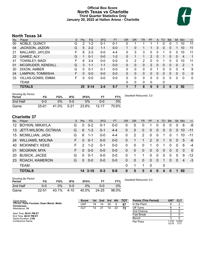### **Official Box Score North Texas vs Charlotte Third Quarter Statistics Only January 20, 2022 at Halton Arena - Charlotte**



### **North Texas 34**

| No. | Plaver                    | S | <b>Pts</b> | FG       | 3FG     | <b>FT</b> | <b>OR</b> | DR           | TR | PF          | A        | TO       | <b>Blk</b> | <b>Stl</b>   | Min          | $+/-$        |
|-----|---------------------------|---|------------|----------|---------|-----------|-----------|--------------|----|-------------|----------|----------|------------|--------------|--------------|--------------|
| 00  | NOBLE, QUINCY             | G | 2          | $1 - 2$  | $0 - 1$ | $0 - 1$   |           |              |    |             |          | 0        | 0          |              | 10           | 11           |
| 04  | JACKSON, JAZION           | G | 5          | $2 - 2$  | $1 - 1$ | $0 - 0$   |           | 0            |    |             | 3        | $\Omega$ | 0          |              | 10           | 11           |
| 21  | MALLARD, JAYLEN           | F | 8          | $2 - 3$  | $0 - 0$ | $4 - 4$   | 0         | 3            | 3  | 0           | $\Omega$ |          | 0          | 0            | 10           | 11           |
| 22  | GAMEZ, ALY                | G |            | $0 - 1$  | $0 - 0$ | $1 - 2$   | 0         |              | 1  | 2           | $\Omega$ |          | 0          | $\Omega$     | 4            | 1            |
| 41  | TOWNLEY, MADI             | F | 6          | $3 - 4$  | $0 - 0$ | $0-0$     | $\Omega$  | 2            | 2  | 0           | $\Omega$ |          | 0          | 0            | 10           | 11           |
| 01  | MCGRUDER, KENDALL         | G | 3          | $1 - 1$  | $1 - 1$ | $0 - 0$   | $\Omega$  | 0            | 0  | 2           | $\Omega$ | 0        | 0          | $\Omega$     | 2            | 1            |
| 20  | DIXON, AMBER              | G | 0          | $0 - 1$  | $0 - 1$ | $0 - 0$   | 0         | 0            | 0  | 0           |          | O        | 0          | 0            | 4            | 9            |
| 24  | LAMPKIN, TOMMISHA         | F | 0          | $0 - 0$  | $0 - 0$ | $0 - 0$   | $\Omega$  | 0            | 0  | 0           | $\Omega$ | 0        | 0          | $\mathbf{0}$ | $\mathbf{0}$ | $\mathbf{0}$ |
| 33  | <b>VILLAS-GOMIS, EMMA</b> | F | 0          | $0 - 0$  | $0-0$   | $0 - 0$   | 0         | 0            | 0  | 0           | $\Omega$ | 0        | 0          | $\mathbf 0$  | 0            | 0            |
|     | TEAM                      |   |            |          |         |           | $\Omega$  | $\mathbf{0}$ | 0  | $\mathbf 0$ |          | 0        |            |              |              |              |
|     | <b>TOTALS</b>             |   | 25         | $9 - 14$ | $2 - 4$ | $5 - 7$   |           |              | 8  | 6           | 5        | 3        | 0          | 2            | 50           |              |

| <b>Shooting By Period</b><br>Period | FG        | FG%   | 3FG    | 3FG%  |           | FT%   | Deadball Rebounds: 3,0 |
|-------------------------------------|-----------|-------|--------|-------|-----------|-------|------------------------|
| 2nd Half                            | 0-0       | 0%    | 0-0    | $0\%$ | 0-0       | 0%    |                        |
| Game                                | $25 - 61$ | 41.0% | $5-21$ | 23.8% | $12 - 17$ | 70.6% |                        |

### **Charlotte 37**

| No.               | Player                  | S  | <b>Pts</b> | FG.     | 3FG     | <b>FT</b> | OR           | <b>DR</b>    | TR           | <b>PF</b>     | A            | TO       | <b>Blk</b> | Stl            | Min            | $+/-$    |
|-------------------|-------------------------|----|------------|---------|---------|-----------|--------------|--------------|--------------|---------------|--------------|----------|------------|----------------|----------------|----------|
| $12 \overline{ }$ | <b>BOYKIN, MIKAYLA</b>  | G  | 0          | $0 - 2$ | $0 - 1$ | $0-0$     | 0            | 0            | 0            |               | 0            | 0        | 0          | 0              | 6              | -8       |
| 13                | JETT-WILSON, OCTAVIA    | G  | 6          | $1 - 3$ | $0 - 1$ | $4 - 4$   | 0            | 0            | 0            | 0             | $\Omega$     | $\Omega$ | $\Omega$   | $\Omega$       | 10             | $-11$    |
| 15                | MCMILLIAN, JADA         | G  | 6          | 1-1     | $0 - 0$ | $4 - 4$   | 0            | 2            | 2            | $\Omega$      | $\Omega$     |          | $\Omega$   |                | 10             | $-11$    |
| 24                | <b>WILLIAMS, MOLINA</b> | F  | 0          | $0 - 1$ | $0 - 0$ | $0 - 0$   | 0            |              | 1            | $\mathcal{P}$ | $\mathbf{0}$ |          | $\Omega$   | $\overline{0}$ | 5              | -6       |
| 40                | <b>MCKINNEY, KEKE</b>   | F. | 2          | $1 - 2$ | $0 - 1$ | $0-0$     | 0            | 0            | 0            | 1             | $\Omega$     |          | $\Omega$   | $\Omega$       | 6              | $-4$     |
| 01                | MCGRAW, MYA             | F  | 0          | $0 - 0$ | $0 - 0$ | $0-0$     | $\mathbf{0}$ | $\mathbf{0}$ | $\mathbf{0}$ | $\Omega$      | $\mathbf{0}$ | $\Omega$ | $\Omega$   | $\mathbf{0}$   | $\Omega$       | $\Omega$ |
| 20                | <b>BUSICK, JACEE</b>    | G  | $\Omega$   | $0 - 1$ | $0 - 0$ | $0-0$     | 0            |              |              | 0             | $\Omega$     | 0        | $\Omega$   | 0              | 9              | $-12$    |
| 23                | ROACH, KAMERON          | G  | $\Omega$   | $0 - 0$ | $0 - 0$ | $0-0$     | 0            | $\Omega$     | $\Omega$     | $\Omega$      | $\Omega$     | 1        | $\Omega$   | $\Omega$       | $\overline{4}$ | $-3$     |
|                   | <b>TEAM</b>             |    |            |         |         |           | $\Omega$     | 1            |              | $\mathbf 0$   |              | 0        |            |                |                |          |
|                   | <b>TOTALS</b>           |    |            | 14 3-10 | $0 - 3$ | $8 - 8$   | $\bf{0}$     | 5            | 5            | 4             | $\bf{0}$     | 4        | $\bf{0}$   | 1              | 50             |          |

| <b>Shooting By Period</b><br>Period | FG        | FG%   | 3FG      | 3FG%  | FТ        | FT%   |
|-------------------------------------|-----------|-------|----------|-------|-----------|-------|
| 2nd Half                            | 0-0       | 0%    | ი-ი      | $0\%$ | ი-ი       | 0%    |
| Game                                | $22 - 51$ | 43.1% | $4 - 10$ | 40.0% | $24 - 25$ | 96.0% |

*Deadball Rebounds:* 0,0

| Game Notes:                                                 | <b>Score</b> | 1st l | 2nd | 3rd | 4th | <b>TOT</b> | <b>Points (This Period)</b> | UN1            | <b>CLT</b>    |
|-------------------------------------------------------------|--------------|-------|-----|-----|-----|------------|-----------------------------|----------------|---------------|
| Officials: Carla Fountain, Dawn Marsh, Metta<br>Christensen | UNT          | 19    | 14  | 25  |     | 67         | In the Paint                |                |               |
| Attendance: 19                                              | CLT          | 14    |     | 14  | 23  | 72         | Off Turns                   |                |               |
|                                                             |              |       |     |     |     |            | 2nd Chance                  |                |               |
| Start Time: 06:01 PM ET<br>End Time: 08:01 PM ET            |              |       |     |     |     |            | <b>Fast Break</b>           |                |               |
| Game Duration: 2:00                                         |              |       |     |     |     |            | Bench                       |                |               |
| Conference Game;                                            |              |       |     |     |     |            | Per Poss                    | 1.316<br>12/19 | 0.824<br>7/17 |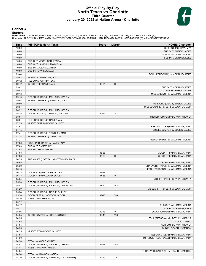### **Official Play-By-Play North Texas vs Charlotte Third Quarter January 20, 2022 at Halton Arena - Charlotte**



### **Period 3**

<mark>Starters:</mark><br>North Texas: 0 NOBLE,QUINCY (G); 4 JACKSON,JAZION (G); 21 MALLARD,JAYLEN (F); 22 GAMEZ,ALY (G); 41 TOWNLEY,MADI (F);<br>Charlotte: 12 BOYKIN,MIKAYLA (G); 13 JETT-WILSON,OCTAVIA (G); 15 MCMILLIAN,JADA (G); 24 WILLI

| <b>Time</b>    | <b>VISITORS: North Texas</b>           | <b>Score</b> | <b>Margin</b>  | <b>HOME: Charlotte</b>                 |
|----------------|----------------------------------------|--------------|----------------|----------------------------------------|
| 10:00          |                                        |              |                | SUB OUT: MCGRAW, MYA                   |
| 10:00          |                                        |              |                | SUB OUT: BUSICK, JACEE                 |
| 10:00          |                                        |              |                | SUB IN: WILLIAMS, MOLINA               |
| 10:00          |                                        |              |                | SUB IN: MCKINNEY, KEKE                 |
| 10:00          | SUB OUT: MCGRUDER, KENDALL             |              |                |                                        |
| 10:00          | SUB OUT: LAMPKIN, TOMMISHA             |              |                |                                        |
| 10:00          | SUB IN: MALLARD, JAYLEN                |              |                |                                        |
| 10:00          | SUB IN: TOWNLEY, MADI                  |              |                |                                        |
| 09:44<br>09:42 | MISSED FT by GAMEZ, ALY                |              |                | FOUL (PERSONAL) by MCKINNEY, KEKE      |
| 09:42          | REBOUND (OFF) by TEAM                  |              |                |                                        |
| 09:42          | GOOD! FT by GAMEZ, ALY                 | 35-34        | H <sub>1</sub> |                                        |
| 09:42          |                                        |              |                | SUB OUT: MCKINNEY, KEKE                |
| 09:42          |                                        |              |                | SUB IN: BUSICK, JACEE                  |
| 09:13          |                                        |              |                | MISSED LAYUP by WILLIAMS, MOLINA       |
| 09:10          | REBOUND (DEF) by MALLARD, JAYLEN       |              |                |                                        |
| 09:04          | MISSED JUMPER by TOWNLEY, MADI         |              |                |                                        |
| 09:00          |                                        |              |                | REBOUND (DEF) by BUSICK, JACEE         |
| 08:54          |                                        |              |                | MISSED JUMPER by JETT-WILSON, OCTAVIA  |
| 08:52          | REBOUND (DEF) by MALLARD, JAYLEN       |              |                |                                        |
| 08:28          | GOOD! LAYUP by TOWNLEY, MADI [PNT]     | 35-36        | V <sub>1</sub> |                                        |
| 08:04          |                                        |              |                | MISSED JUMPER by BOYKIN, MIKAYLA       |
| 08:01          | REBOUND (DEF) by GAMEZ, ALY            |              |                |                                        |
| 07:55          | MISSED 3PTR by NOBLE, QUINCY           |              |                |                                        |
| 07:51          |                                        |              |                | REBOUND (DEF) by MCMILLIAN, JADA       |
| 07:45          |                                        |              |                | MISSED JUMPER by BUSICK, JACEE         |
| 07:41          | REBOUND (DEF) by TOWNLEY, MADI         |              |                |                                        |
| 07:24          | MISSED JUMPER by GAMEZ, ALY            |              |                |                                        |
| 07:21          |                                        |              |                | REBOUND (DEF) by WILLIAMS, MOLINA      |
| 07:03          | FOUL (PERSONAL) by GAMEZ, ALY          |              |                |                                        |
| 07:03          | SUB OUT: GAMEZ, ALY                    |              |                |                                        |
| 07:03          | SUB IN: DIXON, AMBER                   |              |                |                                        |
| 07:03          |                                        | 36-36        | T              | GOOD! FT by MCMILLIAN, JADA            |
| 07:03          |                                        | 37-36        | H <sub>1</sub> | GOOD! FT by MCMILLIAN, JADA            |
| 06:55          | TURNOVER (LOSTBALL) by TOWNLEY, MADI   |              |                |                                        |
| 06:55<br>06:39 |                                        |              |                | STEAL by MCMILLIAN, JADA               |
|                |                                        |              |                | TURNOVER (TRAVEL) by WILLIAMS, MOLINA  |
| 06:13<br>06:13 | GOOD! FT by MALLARD, JAYLEN            | 37-37        | $\mathsf{T}$   | FOUL (PERSONAL) by WILLIAMS, MOLINA    |
| 06:13          | GOOD! FT by MALLARD, JAYLEN            | 37-38        | V <sub>1</sub> |                                        |
| 05:54          |                                        |              |                | MISSED 3PTR by BOYKIN, MIKAYLA         |
| 05:50          | REBOUND (DEF) by MALLARD, JAYLEN       |              |                |                                        |
| 05:41          | GOOD! JUMPER by JACKSON, JAZION [PNT]  | 37-40        | $V_3$          |                                        |
| 05:29          |                                        |              |                | MISSED 3PTR by JETT-WILSON, OCTAVIA    |
| 05:24          | REBOUND (DEF) by NOBLE, QUINCY         |              |                |                                        |
| 05:20          | GOOD! 3PTR by JACKSON, JAZION          | $37 - 43$    | $V_6$          |                                        |
| 05:20          | ASSIST by NOBLE, QUINCY                |              |                |                                        |
| 05:17          |                                        |              |                |                                        |
| 05:17          |                                        |              |                | SUB OUT: WILLIAMS, MOLINA              |
| 05:17          |                                        |              |                | SUB IN: MCKINNEY, KEKE                 |
| 05:06          |                                        | 39-43        | V <sub>4</sub> | GOOD! JUMPER by MCMILLIAN, JADA        |
| 04:55          | GOOD! JUMPER by NOBLE, QUINCY          | 39-45        | $V_6$          |                                        |
| 04:55          |                                        |              |                | FOUL (PERSONAL) by BOYKIN, MIKAYLA     |
| 04:55          |                                        |              |                | TIMEOUT 30SEC                          |
| 04:55          |                                        |              |                | SUB OUT: BOYKIN, MIKAYLA               |
| 04:55          |                                        |              |                | SUB IN: ROACH, KAMERON                 |
| 04:55          | MISSED FT by NOBLE, QUINCY             |              |                |                                        |
| 04:55          |                                        |              |                | REBOUND (DEF) by MCMILLIAN, JADA       |
| 04:50          |                                        |              |                | TURNOVER (LOSTBALL) by MCMILLIAN, JADA |
| 04:50          | STEAL by NOBLE, QUINCY                 |              |                |                                        |
| 04:41          | GOOD! JUMPER by MALLARD, JAYLEN        | 39-47        | V 8            |                                        |
| 04:41          | ASSIST by DIXON, AMBER                 |              |                |                                        |
| 04:34          |                                        |              |                | TURNOVER (BADPASS) by ROACH, KAMERON   |
| 04:34          | STEAL by JACKSON, JAZION               |              |                |                                        |
| 04:30          | GOOD! JUMPER by TOWNLEY, MADI [FB/PNT] | 39-49        | $V$ 10         |                                        |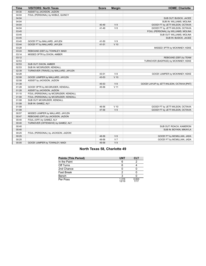| <b>Time</b> | <b>VISITORS: North Texas</b>         | <b>Score</b> | <b>Margin</b>   | <b>HOME: Charlotte</b>                    |
|-------------|--------------------------------------|--------------|-----------------|-------------------------------------------|
| 04:30       | ASSIST by JACKSON, JAZION            |              |                 |                                           |
| 04:04       | FOUL (PERSONAL) by NOBLE, QUINCY     |              |                 |                                           |
| 04:04       |                                      |              |                 | SUB OUT: BUSICK, JACEE                    |
| 04:04       |                                      |              |                 | SUB IN: WILLIAMS, MOLINA                  |
| 04:04       |                                      | 40-49        | V <sub>9</sub>  | GOOD! FT by JETT-WILSON, OCTAVIA          |
| 04:04       |                                      | 41-49        | V8              | GOOD! FT by JETT-WILSON, OCTAVIA          |
| 03:45       |                                      |              |                 | FOUL (PERSONAL) by WILLIAMS, MOLINA       |
| 03:45       |                                      |              |                 | SUB OUT: WILLIAMS, MOLINA                 |
| 03:45       |                                      |              |                 | SUB IN: BUSICK, JACEE                     |
| 03:45       | GOOD! FT by MALLARD, JAYLEN          | 41-50        | V <sub>9</sub>  |                                           |
| 03:44       | GOOD! FT by MALLARD, JAYLEN          | $41 - 51$    | $V$ 10          |                                           |
| 03:28       |                                      |              |                 | MISSED 3PTR by MCKINNEY, KEKE             |
| 03:24       | REBOUND (DEF) by TOWNLEY, MADI       |              |                 |                                           |
| 03:14       | MISSED 3PTR by DIXON, AMBER          |              |                 |                                           |
| 03:12       |                                      |              |                 | REBOUND (DEF) by TEAM                     |
| 02:53       |                                      |              |                 | TURNOVER (BADPASS) by MCKINNEY, KEKE      |
| 02:53       | SUB OUT: DIXON, AMBER                |              |                 |                                           |
| 02:53       | SUB IN: MCGRUDER, KENDALL            |              |                 |                                           |
| 02:39       | TURNOVER (TRAVEL) by MALLARD, JAYLEN |              |                 |                                           |
| 02:28       |                                      | 43-51        | V <sub>8</sub>  | GOOD! JUMPER by MCKINNEY, KEKE            |
| 02:08       | GOOD! JUMPER by MALLARD, JAYLEN      | 43-53        | $V$ 10          |                                           |
| 02:08       | ASSIST by JACKSON, JAZION            |              |                 |                                           |
| 01:39       |                                      | 45-53        | V8              | GOOD! LAYUP by JETT-WILSON, OCTAVIA [PNT] |
| 01:28       | GOOD! 3PTR by MCGRUDER, KENDALL      | 45-56        | V <sub>11</sub> |                                           |
| 01:28       | ASSIST by JACKSON, JAZION            |              |                 |                                           |
| 01:10       | FOUL (PERSONAL) by MCGRUDER, KENDALL |              |                 |                                           |
| 01:08       | FOUL (PERSONAL) by MCGRUDER, KENDALL |              |                 |                                           |
| 01:08       | SUB OUT: MCGRUDER, KENDALL           |              |                 |                                           |
| 01:08       | SUB IN: GAMEZ, ALY                   |              |                 |                                           |
| 01:08       |                                      | 46-56        | $V$ 10          | GOOD! FT by JETT-WILSON, OCTAVIA          |
| 01:08       |                                      | 47-56        | V <sub>9</sub>  | GOOD! FT by JETT-WILSON, OCTAVIA          |
| 00:57       | MISSED JUMPER by MALLARD, JAYLEN     |              |                 |                                           |
| 00:47       | REBOUND (OFF) by JACKSON, JAZION     |              |                 |                                           |
| 00:40       | FOUL (OFF) by GAMEZ, ALY             |              |                 |                                           |
| 00:40       | TURNOVER (OFFENSIVE) by GAMEZ, ALY   |              |                 |                                           |
| 00:40       |                                      |              |                 | SUB OUT: ROACH, KAMERON                   |
| 00:40       |                                      |              |                 | SUB IN: BOYKIN, MIKAYLA                   |
| 00:25       | FOUL (PERSONAL) by JACKSON, JAZION   |              |                 |                                           |
| 00:25       |                                      | 48-56        | V8              | GOOD! FT by MCMILLIAN, JADA               |
| 00:25       |                                      | 49-56        | V <sub>7</sub>  | GOOD! FT by MCMILLIAN, JADA               |
| 00:05       | GOOD! JUMPER by TOWNLEY, MADI        | 49-58        | V <sub>9</sub>  |                                           |

### **North Texas 58, Charlotte 49**

| <b>Points (This Period)</b> | <b>UNT</b>     | <b>CLT</b>    |
|-----------------------------|----------------|---------------|
| In the Paint                |                |               |
| Off Turns                   |                |               |
| 2nd Chance                  |                |               |
| <b>Fast Break</b>           |                |               |
| Bench                       |                |               |
| Per Poss                    | 1.316<br>12/19 | 0.824<br>7/17 |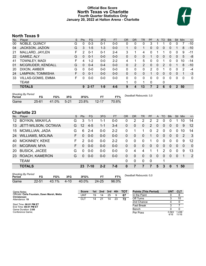### **Official Box Score North Texas vs Charlotte Fourth Quarter Statistics Only January 20, 2022 at Halton Arena - Charlotte**



### **North Texas 9**

| No. | Plaver                    | S  | Pts          | FG.      | 3FG     | <b>FT</b> | <b>OR</b> | <b>DR</b> | TR | PF | A            | <b>TO</b> | <b>Blk</b>   | Stl           | Min | $+/-$        |
|-----|---------------------------|----|--------------|----------|---------|-----------|-----------|-----------|----|----|--------------|-----------|--------------|---------------|-----|--------------|
| 00  | NOBLE, QUINCY             | G  | 0            | $0 - 3$  | $0 - 1$ | $0 - 0$   | 0         | 0         | 0  | 3  |              |           | 0            | 0             |     | $-10$        |
| 04  | JACKSON, JAZION           | G  | 3            | $1 - 5$  | $1 - 3$ | $0 - 0$   | 1         | 0         | 1  | 0  | $\mathbf{0}$ | $\Omega$  | 0            |               | 8   | $-10$        |
| 21  | MALLARD, JAYLEN           | F. | 2            | $0 - 1$  | $0 - 1$ | $2 - 4$   | 3         |           | 4  | 0  |              |           | 0            | 0             | 9   | $-11$        |
| 22  | GAMEZ, ALY                | G  | 0            | $0 - 1$  | $0 - 0$ | $0 - 0$   | 0         | 0         | 0  |    | 0            | $\Omega$  | $\Omega$     | $\mathbf{0}$  | 5   | -8           |
| 41  | <b>TOWNLEY, MADI</b>      | F  | 4            | $1 - 2$  | $0 - 0$ | $2 - 2$   | 4         |           | 5  | 0  | 0            |           | 0            | 0             | 10  | $-14$        |
| 01  | MCGRUDER, KENDALL         | G  | <sup>0</sup> | $0 - 4$  | $0 - 4$ | $0 - 0$   | $\Omega$  | 2         | 2  | 0  | 0            | 2         | 0            |               | 8   | $-10$        |
| 20  | DIXON, AMBER              | G  | U            | $0 - 0$  | $0-0$   | $0-0$     | 0         | 0         | 0  | 2  | 0            |           |              | 0             | 2   | -4           |
| 24  | LAMPKIN, TOMMISHA         | F. | 0            | $0 - 1$  | $0 - 0$ | $0 - 0$   | $\Omega$  | 0         | 0  |    | 0            | 0         | 0            | 0             |     | -3           |
| 33  | <b>VILLAS-GOMIS, EMMA</b> | F. | O            | $0 - 0$  | $0 - 0$ | $0 - 0$   | 0         | 0         | 0  | 0  | 0            | 0         | 0            | 0             | 0   | $\mathbf{0}$ |
|     | TEAM                      |    |              |          |         |           |           | $\Omega$  | 1  | 0  |              | 0         |              |               |     |              |
|     | <b>TOTALS</b>             |    | 9            | $2 - 17$ | $1 - 9$ | $4-6$     | 9         | 4         | 13 |    | 2            | 6         | $\mathbf{0}$ | $\mathcal{P}$ | 50  |              |

| <b>Shooting By Period</b><br>Period | FG        | FG%   | 3FG      | 3FG%  | ET        | FT%   | Deadball Rebounds: 3,0 |
|-------------------------------------|-----------|-------|----------|-------|-----------|-------|------------------------|
| Game                                | $25 - 61$ | 41.0% | $5 - 21$ | 23.8% | $12 - 17$ | 70.6% |                        |

### **Charlotte 23**

| No.             | Player                                        | S  | <b>Pts</b>    | <b>FG</b> | 3FG     | FT.     | 0R       | DR                     | TR       | <b>PF</b>      | A        | TO       | <b>Blk</b> | Stl            | Min      | $+/-$        |
|-----------------|-----------------------------------------------|----|---------------|-----------|---------|---------|----------|------------------------|----------|----------------|----------|----------|------------|----------------|----------|--------------|
| 12 <sup>°</sup> | BOYKIN, MIKAYLA                               | G  | 3             | 1-1       | 1-1     | $0-0$   | 0        | 2                      | 2        | 2              | 2        | 0        | 0          |                | 10       | 14           |
| 13              | JETT-WILSON, OCTAVIA                          | G  | 12            | $4 - 5$   | 1-1     | $3 - 4$ | 0        | 0                      | $\Omega$ | $\overline{2}$ | 0        | 0        | 0          | 0              | 9        | 12           |
| 15              | <b>MCMILLIAN, JADA</b>                        | G  | 6             | $2 - 4$   | $0-0$   | $2 - 2$ | 0        |                        |          | 0              | 2        | 0        | 0          | 0              | 10       | 14           |
| 24              | <b>WILLIAMS, MOLINA</b>                       | F. | 0             | $0-0$     | $0 - 0$ | $0 - 0$ | 0        | 0                      | 0        |                | 0        | $\Omega$ | 0          | $\overline{0}$ | 2        | $\mathbf{3}$ |
| 40              | <b>MCKINNEY, KEKE</b>                         | F  | $\mathcal{P}$ | $0 - 0$   | $0-0$   | $2 - 2$ | 0        | 0                      | $\Omega$ |                | 0        | 0        | 0          | 0              | 9        | 12           |
| 01              | MCGRAW, MYA                                   | F  | 0             | $0-0$     | $0-0$   | $0 - 0$ | 0        | 0                      | $\Omega$ | 0              | 0        | $\Omega$ | 0          | $\Omega$       | $\Omega$ | $\mathbf 0$  |
| 20              | <b>BUSICK, JACEE</b>                          | G  | 0             | $0-0$     | $0-0$   | $0-0$   | 0        | 4                      | 4        |                |          | 2        | 0          | 0              | 9        | 13           |
| 23              | ROACH, KAMERON                                | G  | 0             | $0-0$     | $0 - 0$ | $0 - 0$ | $\Omega$ | 0                      | $\Omega$ | 0              | $\Omega$ | $\Omega$ | $\Omega$   | $\Omega$       |          | 2            |
|                 | <b>TEAM</b>                                   |    |               |           |         |         | $\Omega$ | 0                      | $\Omega$ | 0              |          | 1        |            |                |          |              |
|                 | <b>TOTALS</b>                                 |    |               | $23$ 7-10 | $2 - 2$ | $7 - 8$ | 0        | 7                      |          | 7              | 5        | 3        | 0          | 1              | 50       |              |
| <b>Daviad</b>   | <b>Shooting By Period</b><br>ECO<br>EC.<br>2E |    | 2ECO          |           | EТ      | ET0/    |          | Deadball Rebounds: 0.0 |          |                |          |          |            |                |          |              |

| Period |       | FG%   | 3FG     | 3FG%  |           | ≂т%   |
|--------|-------|-------|---------|-------|-----------|-------|
| Game   | 22-51 | 43.1% | $-4-10$ | 40.0% | $24 - 25$ | 96.0% |

| vaniv       | $22 - 7$ |  |              |  | - JU.U /U |                                |
|-------------|----------|--|--------------|--|-----------|--------------------------------|
|             |          |  |              |  |           |                                |
|             |          |  |              |  |           |                                |
|             |          |  |              |  |           |                                |
| Game Notes: |          |  | <b>Score</b> |  |           | 1st 2nd 3rd 4th TOT Points (Th |
|             |          |  |              |  |           |                                |

| Game Notes:                                                 | <b>Score</b> | 1st | 2nd | 3rd | 4th | тот | <b>Points (This Period)</b> | UNT           | <b>CLT</b>     |
|-------------------------------------------------------------|--------------|-----|-----|-----|-----|-----|-----------------------------|---------------|----------------|
| Officials: Carla Fountain, Dawn Marsh, Metta<br>Christensen | UNT          | 19  | 14  | 25  |     | 67  | In the Paint                |               |                |
| Attendance: 19                                              | CLT          | 14  |     | 14  | 23  | 72  | Off Turns                   |               |                |
|                                                             |              |     |     |     |     |     | 2nd Chance                  |               |                |
| Start Time: 06:01 PM ET<br>End Time: 08:01 PM ET            |              |     |     |     |     |     | Fast Break                  |               |                |
| Game Duration: 2:00                                         |              |     |     |     |     |     | Bench                       |               |                |
| Conference Game:                                            |              |     |     |     |     |     | Per Poss                    | 0.563<br>4/16 | 1.438<br>11/16 |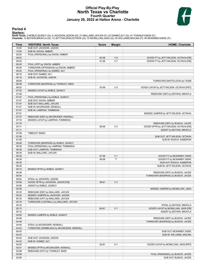### **Official Play-By-Play North Texas vs Charlotte Fourth Quarter January 20, 2022 at Halton Arena - Charlotte**



### **Period 4**

<mark>Starters:</mark><br>North Texas: 0 NOBLE,QUINCY (G); 4 JACKSON,JAZION (G); 21 MALLARD,JAYLEN (F); 22 GAMEZ,ALY (G); 41 TOWNLEY,MADI (F);<br>Charlotte: 12 BOYKIN,MIKAYLA (G); 13 JETT-WILSON,OCTAVIA (G); 15 MCMILLIAN,JADA (G); 24 WILLI

| Time           | <b>VISITORS: North Texas</b>                                               | <b>Score</b> | <b>Margin</b>  | <b>HOME: Charlotte</b>                    |
|----------------|----------------------------------------------------------------------------|--------------|----------------|-------------------------------------------|
| 10:00          | SUB OUT: JACKSON, JAZION                                                   |              |                |                                           |
| 10:00          | SUB IN: DIXON, AMBER                                                       |              |                |                                           |
| 09:53          | FOUL (PERSONAL) by DIXON, AMBER                                            |              |                |                                           |
| 09:53          |                                                                            | 50-58        | V8             | GOOD! FT by JETT-WILSON, OCTAVIA [FB]     |
| 09:53          |                                                                            | 51-58        | V <sub>7</sub> | GOOD! FT by JETT-WILSON, OCTAVIA [FB]     |
| 09:30          | FOUL (OFF) by DIXON, AMBER                                                 |              |                |                                           |
| 09:30          | TURNOVER (OFFENSIVE) by DIXON, AMBER                                       |              |                |                                           |
| 09:25          | FOUL (PERSONAL) by GAMEZ, ALY<br>SUB OUT: GAMEZ, ALY                       |              |                |                                           |
| 09:18<br>09:18 | SUB IN: JACKSON, JAZION                                                    |              |                |                                           |
| 08:59          |                                                                            |              |                | TURNOVER (SHOTCLOCK) by TEAM              |
| 08:38          | TURNOVER (BADPASS) by TOWNLEY, MADI                                        |              |                |                                           |
| 08:22          |                                                                            | 53-58        | V <sub>5</sub> | GOOD! LAYUP by JETT-WILSON, OCTAVIA [PNT] |
| 07:53          | MISSED LAYUP by NOBLE, QUINCY                                              |              |                |                                           |
| 07:48          |                                                                            |              |                | REBOUND (DEF) by BOYKIN, MIKAYLA          |
| 07:47          | FOUL (PERSONAL) by NOBLE, QUINCY                                           |              |                |                                           |
| 07:47          | SUB OUT: DIXON, AMBER                                                      |              |                |                                           |
| 07:47          | SUB OUT: MALLARD, JAYLEN                                                   |              |                |                                           |
| 07:47          | SUB IN: MCGRUDER, KENDALL                                                  |              |                |                                           |
| 07:47          | SUB IN: LAMPKIN, TOMMISHA                                                  |              |                |                                           |
| 07:31          |                                                                            |              |                | MISSED JUMPER by JETT-WILSON, OCTAVIA     |
| 07:27          | REBOUND (DEF) by MCGRUDER, KENDALL                                         |              |                |                                           |
| 07:19          | MISSED LAYUP by LAMPKIN, TOMMISHA                                          |              |                |                                           |
| 07:16          |                                                                            |              |                | REBOUND (DEF) by BUSICK, JACEE            |
| 07:11          |                                                                            | 56-58        | V <sub>2</sub> | GOOD! 3PTR by JETT-WILSON, OCTAVIA [FB]   |
| 07:11          |                                                                            |              |                | ASSIST by BOYKIN, MIKAYLA                 |
| 07:08          | <b>TIMEOUT 30SEC</b>                                                       |              |                |                                           |
| 07:08          |                                                                            |              |                | SUB OUT: JETT-WILSON, OCTAVIA             |
| 07:08<br>06:49 | TURNOVER (BADPASS) by NOBLE, QUINCY                                        |              |                | SUB IN: ROACH, KAMERON                    |
| 06:35          | FOUL (PERSONAL) by LAMPKIN, TOMMISHA                                       |              |                |                                           |
| 06:35          | SUB OUT: LAMPKIN, TOMMISHA                                                 |              |                |                                           |
| 06:35          | SUB IN: MALLARD, JAYLEN                                                    |              |                |                                           |
| 06:35          |                                                                            | 57-58        | V <sub>1</sub> | GOOD! FT by MCKINNEY, KEKE                |
| 06:35          |                                                                            | 58-58        | T.             | GOOD! FT by MCKINNEY, KEKE                |
| 06:35          |                                                                            |              |                | SUB OUT: ROACH, KAMERON                   |
| 06:35          |                                                                            |              |                | SUB IN: JETT-WILSON, OCTAVIA              |
| 06:10          | MISSED 3PTR by NOBLE, QUINCY                                               |              |                |                                           |
| 06:06          |                                                                            |              |                | REBOUND (DEF) by BUSICK, JACEE            |
| 06:04          |                                                                            |              |                | TURNOVER (BADPASS) by BUSICK, JACEE       |
| 06:04          | STEAL by JACKSON, JAZION                                                   |              |                |                                           |
| 05:56          | GOOD! 3PTR by JACKSON, JAZION [FB]                                         | 58-61        | $V_3$          |                                           |
| 05:56          | ASSIST by NOBLE, QUINCY                                                    |              |                |                                           |
| 05:39          |                                                                            |              |                | MISSED JUMPER by MCMILLIAN, JADA          |
| 05:35          | REBOUND (DEF) by MALLARD, JAYLEN                                           |              |                |                                           |
| 05:22          | MISSED JUMPER by JACKSON, JAZION                                           |              |                |                                           |
| 05:16          | REBOUND (OFF) by MALLARD, JAYLEN<br>TURNOVER (LOSTBALL) by MALLARD, JAYLEN |              |                |                                           |
| 05:16<br>05:16 |                                                                            |              |                | STEAL by BOYKIN, MIKAYLA                  |
| 05:12          |                                                                            | 60-61        | V <sub>1</sub> | GOOD! LAYUP by MCMILLIAN, JADA [FB]       |
| 05:12          |                                                                            |              |                | ASSIST by BOYKIN, MIKAYLA                 |
| 04:50          | MISSED JUMPER by NOBLE, QUINCY                                             |              |                |                                           |
| 04:48          |                                                                            |              |                | REBOUND (DEF) by BUSICK, JACEE            |
| 04:46          |                                                                            |              |                | TURNOVER (BADPASS) by BUSICK, JACEE       |
| 04:46          | STEAL by MCGRUDER, KENDALL                                                 |              |                |                                           |
| 04:43          | TURNOVER (DRIBBLING) by MCGRUDER, KENDALL                                  |              |                |                                           |
| 04:43          |                                                                            |              |                | SUB OUT: MCKINNEY, KEKE                   |
| 04:43          |                                                                            |              |                | SUB IN: WILLIAMS, MOLINA                  |
| 04:43          | SUB OUT: JACKSON, JAZION                                                   |              |                |                                           |
| 04:43          | SUB IN: GAMEZ, ALY                                                         |              |                |                                           |
| 04:20          |                                                                            | 62-61        | H <sub>1</sub> | GOOD! LAYUP by MCMILLIAN, JADA [PNT]      |
| 04:01          | MISSED 3PTR by MCGRUDER, KENDALL                                           |              |                |                                           |
| 03:58          | REBOUND (OFF) by TOWNLEY, MADI                                             |              |                |                                           |
| 03:58          |                                                                            |              |                | FOUL (PERSONAL) by BUSICK, JACEE          |
| 03:58          |                                                                            |              |                | SUB OUT: BUSICK, JACEE                    |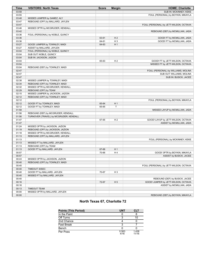| <b>Time</b> | <b>VISITORS: North Texas</b>           | <b>Score</b> | <b>Margin</b>  | <b>HOME: Charlotte</b>                  |
|-------------|----------------------------------------|--------------|----------------|-----------------------------------------|
| 03:58       |                                        |              |                | SUB IN: MCKINNEY, KEKE                  |
| 03:55       |                                        |              |                | FOUL (PERSONAL) by BOYKIN, MIKAYLA      |
| 03:48       | MISSED JUMPER by GAMEZ, ALY            |              |                |                                         |
| 03:47       | REBOUND (OFF) by MALLARD, JAYLEN       |              |                |                                         |
| 03:47       |                                        |              |                | FOUL (PERSONAL) by JETT-WILSON, OCTAVIA |
| 03:46       | MISSED 3PTR by MCGRUDER, KENDALL       |              |                |                                         |
| 03:42       |                                        |              |                | REBOUND (DEF) by MCMILLIAN, JADA        |
| 03:36       | FOUL (PERSONAL) by NOBLE, QUINCY       |              |                |                                         |
| 03:36       |                                        | 63-61        | H <sub>2</sub> | GOOD! FT by MCMILLIAN, JADA             |
| 03:36       |                                        | 64-61        | H <sub>3</sub> | GOOD! FT by MCMILLIAN, JADA             |
| 03:27       | GOOD! JUMPER by TOWNLEY, MADI          | 64-63        | H <sub>1</sub> |                                         |
| 03:27       | ASSIST by MALLARD, JAYLEN              |              |                |                                         |
| 03:04       | FOUL (PERSONAL) by NOBLE, QUINCY       |              |                |                                         |
| 03:04       | SUB OUT: NOBLE, QUINCY                 |              |                |                                         |
| 03:04       | SUB IN: JACKSON, JAZION                |              |                |                                         |
| 03:04       |                                        | 65-63        | H <sub>2</sub> | GOOD! FT by JETT-WILSON, OCTAVIA        |
| 03:04       |                                        |              |                | MISSED FT by JETT-WILSON, OCTAVIA       |
| 03:04       | REBOUND (DEF) by TOWNLEY, MADI         |              |                |                                         |
| 02:47       |                                        |              |                | FOUL (PERSONAL) by WILLIAMS, MOLINA     |
| 02:47       |                                        |              |                | SUB OUT: WILLIAMS, MOLINA               |
| 02:47       |                                        |              |                | SUB IN: BUSICK, JACEE                   |
| 02:38       | MISSED JUMPER by TOWNLEY, MADI         |              |                |                                         |
| 02:34       | REBOUND (OFF) by TOWNLEY, MADI         |              |                |                                         |
| 02:32       | MISSED 3PTR by MCGRUDER, KENDALL       |              |                |                                         |
| 02:29       | REBOUND (OFF) by TEAM                  |              |                |                                         |
| 02:15       | MISSED JUMPER by JACKSON, JAZION       |              |                |                                         |
| 02:12       | REBOUND (OFF) by TOWNLEY, MADI         |              |                |                                         |
| 02:12       |                                        |              |                | FOUL (PERSONAL) by BOYKIN, MIKAYLA      |
| 02:12       | GOOD! FT by TOWNLEY, MADI              | 65-64        | H <sub>1</sub> |                                         |
| 02:12       | GOOD! FT by TOWNLEY, MADI              | 65-65        | Т              |                                         |
| 01:58       |                                        |              |                | MISSED LAYUP by MCMILLIAN, JADA         |
| 01:56       | REBOUND (DEF) by MCGRUDER, KENDALL     |              |                |                                         |
| 01:56       | TURNOVER (TRAVEL) by MCGRUDER, KENDALL |              |                |                                         |
| 01:47       |                                        | 67-65        | H <sub>2</sub> | GOOD! LAYUP by JETT-WILSON, OCTAVIA     |
| 01:47       |                                        |              |                | ASSIST by MCMILLIAN, JADA               |
| 01:24       | MISSED 3PTR by JACKSON, JAZION         |              |                |                                         |
| 01:19       | REBOUND (OFF) by JACKSON, JAZION       |              |                |                                         |
| 01:18       | MISSED 3PTR by MCGRUDER, KENDALL       |              |                |                                         |
| 01:13       | REBOUND (OFF) by MALLARD, JAYLEN       |              |                |                                         |
| 01:13       |                                        |              |                | FOUL (PERSONAL) by MCKINNEY, KEKE       |
| 01:13       | MISSED FT by MALLARD, JAYLEN           |              |                |                                         |
| 01:13       | REBOUND (OFF) by TEAM                  |              |                |                                         |
| 01:13       | GOOD! FT by MALLARD, JAYLEN            | 67-66        | H <sub>1</sub> |                                         |
| 00:57       |                                        | 70-66        | H4             | GOOD! 3PTR by BOYKIN, MIKAYLA           |
| 00:57       |                                        |              |                | ASSIST by BUSICK, JACEE                 |
| 00:43       | MISSED 3PTR by JACKSON, JAZION         |              |                |                                         |
| 00:40       | REBOUND (OFF) by TOWNLEY, MADI         |              |                |                                         |
| 00:40       |                                        |              |                | FOUL (PERSONAL) by JETT-WILSON, OCTAVIA |
| 00:40       | TIMEOUT 30SEC                          |              |                |                                         |
| 00:40       | GOOD! FT by MALLARD, JAYLEN            | 70-67        | H <sub>3</sub> |                                         |
| 00:40       | MISSED FT by MALLARD, JAYLEN           |              |                |                                         |
| 00:40       |                                        |              |                | REBOUND (DEF) by BUSICK, JACEE          |
| 00:16       |                                        | 72-67        | H <sub>5</sub> | GOOD! JUMPER by JETT-WILSON, OCTAVIA    |
| 00:16       |                                        |              |                | ASSIST by MCMILLIAN, JADA               |
| 00:13       | <b>TIMEOUT TEAM</b>                    |              |                |                                         |
| 00:00       | MISSED 3PTR by MALLARD, JAYLEN         |              |                |                                         |
| 00:00       |                                        |              |                | REBOUND (DEF) by BOYKIN, MIKAYLA        |

### **North Texas 67, Charlotte 72**

| <b>Points (This Period)</b> | <b>UNT</b>    | <b>CLT</b>     |
|-----------------------------|---------------|----------------|
| In the Paint                |               |                |
| Off Turns                   |               |                |
| 2nd Chance                  |               |                |
| <b>Fast Break</b>           |               |                |
| Bench                       |               |                |
| Per Poss                    | 0.563<br>4/16 | 1.438<br>11/16 |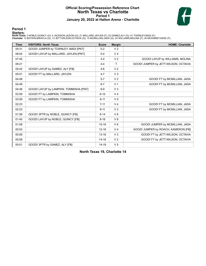### **Official Scoring/Possession Reference Chart North Texas vs Charlotte Period 1 January 20, 2022 at Halton Arena - Charlotte**



**Period 1**

### **Starters:**

North Texas: 0 NOBLE,QUINCY (G); 4 JACKSON,JAZION (G); 21 MALLARD,JAYLEN (F); 22 GAMEZ,ALY (G); 41 TOWNLEY,MADI (F);<br>Charlotte: 12 BOYKIN,MIKAYLA (G); 13 JETT-WILSON,OCTAVIA (G); 15 MCMILLIAN,JADA (G); 24 WILLIAMS,MOLINA (

| <b>Time</b> | <b>VISITORS: North Texas</b>           | <b>Score</b> | <b>Margin</b>  | <b>HOME: Charlotte</b>               |
|-------------|----------------------------------------|--------------|----------------|--------------------------------------|
| 09:31       | GOOD! JUMPER by TOWNLEY, MADI [PNT]    | $0 - 2$      | V <sub>2</sub> |                                      |
| 08:04       | GOOD! LAYUP by MALLARD, JAYLEN [PNT]   | $0 - 4$      | V <sub>4</sub> |                                      |
| 07:45       |                                        | $2 - 4$      | V <sub>2</sub> | GOOD! LAYUP by WILLIAMS, MOLINA      |
| 06:21       |                                        | $4 - 4$      | T              | GOOD! JUMPER by JETT-WILSON, OCTAVIA |
| 05:42       | GOOD! LAYUP by GAMEZ, ALY [FB]         | $4-6$        | V <sub>2</sub> |                                      |
| 05:01       | GOOD! FT by MALLARD, JAYLEN            | $4 - 7$      | $V_3$          |                                      |
| 04:48       |                                        | $5 - 7$      | V <sub>2</sub> | GOOD! FT by MCMILLIAN, JADA          |
| 04:48       |                                        | $6 - 7$      | V <sub>1</sub> | GOOD! FT by MCMILLIAN, JADA          |
| 04:48       | GOOD! LAYUP by LAMPKIN, TOMMISHA [PNT] | $6-9$        | V <sub>3</sub> |                                      |
| 03:59       | GOOD! FT by LAMPKIN, TOMMISHA          | $6 - 10$     | V <sub>4</sub> |                                      |
| 03:59       | GOOD! FT by LAMPKIN, TOMMISHA          | $6 - 11$     | V <sub>5</sub> |                                      |
| 02:23       |                                        | $7 - 11$     | V <sub>4</sub> | GOOD! FT by MCMILLIAN, JADA          |
| 02:23       |                                        | $8 - 11$     | $V_3$          | GOOD! FT by MCMILLIAN, JADA          |
| 01:59       | GOOD! 3PTR by NOBLE, QUINCY [FB]       | $8 - 14$     | $V_6$          |                                      |
| 01:40       | GOOD! LAYUP by NOBLE, QUINCY [FB]      | $8 - 16$     | V8             |                                      |
| 01:08       |                                        | $10 - 16$    | $V_6$          | GOOD! JUMPER by MCMILLIAN, JADA      |
| 00:53       |                                        | $12 - 16$    | V <sub>4</sub> | GOOD! JUMPER by ROACH, KAMERON [FB]  |
| 00:06       |                                        | $13 - 16$    | V <sub>3</sub> | GOOD! FT by JETT-WILSON, OCTAVIA     |
| 00:06       |                                        | $14 - 16$    | V <sub>2</sub> | GOOD! FT by JETT-WILSON, OCTAVIA     |
| 00:01       | GOOD! 3PTR by GAMEZ, ALY [FB]          | 14-19        | V <sub>5</sub> |                                      |

**North Texas 19, Charlotte 14**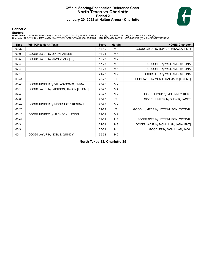### **Official Scoring/Possession Reference Chart North Texas vs Charlotte Period 2 January 20, 2022 at Halton Arena - Charlotte**



### **Period 2**

### **Starters:**

North Texas: 0 NOBLE,QUINCY (G); 4 JACKSON,JAZION (G); 21 MALLARD,JAYLEN (F); 22 GAMEZ,ALY (G); 41 TOWNLEY,MADI (F);<br>Charlotte: 12 BOYKIN,MIKAYLA (G); 13 JETT-WILSON,OCTAVIA (G); 15 MCMILLIAN,JADA (G); 24 WILLIAMS,MOLINA (

| <b>Time</b> | <b>VISITORS: North Texas</b>            | <b>Score</b> | <b>Margin</b>  | <b>HOME: Charlotte</b>                  |
|-------------|-----------------------------------------|--------------|----------------|-----------------------------------------|
| 09:37       |                                         | $16-19$      | V <sub>3</sub> | GOOD! LAYUP by BOYKIN, MIKAYLA [PNT]    |
| 09:09       | GOOD! LAYUP by DIXON, AMBER             | 16-21        | V <sub>5</sub> |                                         |
| 08:53       | GOOD! LAYUP by GAMEZ, ALY [FB]          | 16-23        | V <sub>7</sub> |                                         |
| 07:43       |                                         | $17-23$      | $V_6$          | GOOD! FT by WILLIAMS, MOLINA            |
| 07:43       |                                         | 18-23        | V <sub>5</sub> | GOOD! FT by WILLIAMS, MOLINA            |
| 07:16       |                                         | $21 - 23$    | V <sub>2</sub> | GOOD! 3PTR by WILLIAMS, MOLINA          |
| 06:44       |                                         | 23-23        | т              | GOOD! LAYUP by MCMILLIAN, JADA [FB/PNT] |
| 05:46       | GOOD! JUMPER by VILLAS-GOMIS, EMMA      | 23-25        | V <sub>2</sub> |                                         |
| 05:18       | GOOD! LAYUP by JACKSON, JAZION [FB/PNT] | 23-27        | V <sub>4</sub> |                                         |
| 04:40       |                                         | $25 - 27$    | V <sub>2</sub> | GOOD! LAYUP by MCKINNEY, KEKE           |
| 04:03       |                                         | $27-27$      | т              | GOOD! JUMPER by BUSICK, JACEE           |
| 03:42       | GOOD! JUMPER by MCGRUDER, KENDALL       | 27-29        | V <sub>2</sub> |                                         |
| 03:28       |                                         | 29-29        | т              | GOOD! JUMPER by JETT-WILSON, OCTAVIA    |
| 03:10       | GOOD! JUMPER by JACKSON, JAZION         | 29-31        | V <sub>2</sub> |                                         |
| 00:44       |                                         | 32-31        | H <sub>1</sub> | GOOD! 3PTR by JETT-WILSON, OCTAVIA      |
| 00:34       |                                         | 34-31        | $H_3$          | GOOD! LAYUP by MCMILLIAN, JADA [PNT]    |
| 00:34       |                                         | 35-31        | H4             | GOOD! FT by MCMILLIAN, JADA             |
| 00:14       | GOOD! LAYUP by NOBLE, QUINCY            | 35-33        | H <sub>2</sub> |                                         |

**North Texas 33, Charlotte 35**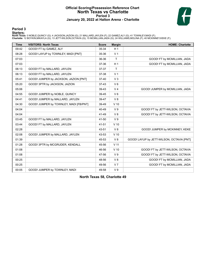### **Official Scoring/Possession Reference Chart North Texas vs Charlotte Period 3 January 20, 2022 at Halton Arena - Charlotte**



**Period 3**

### **Starters:**

North Texas: 0 NOBLE,QUINCY (G); 4 JACKSON,JAZION (G); 21 MALLARD,JAYLEN (F); 22 GAMEZ,ALY (G); 41 TOWNLEY,MADI (F);<br>Charlotte: 12 BOYKIN,MIKAYLA (G); 13 JETT-WILSON,OCTAVIA (G); 15 MCMILLIAN,JADA (G); 24 WILLIAMS,MOLINA (

| <b>Time</b> | <b>VISITORS: North Texas</b>           | <b>Score</b> | <b>Margin</b>  | <b>HOME: Charlotte</b>                    |
|-------------|----------------------------------------|--------------|----------------|-------------------------------------------|
| 09:42       | GOOD! FT by GAMEZ, ALY                 | 35-34        | H <sub>1</sub> |                                           |
| 08:28       | GOOD! LAYUP by TOWNLEY, MADI [PNT]     | 35-36        | V <sub>1</sub> |                                           |
| 07:03       |                                        | 36-36        | $\mathsf{T}$   | GOOD! FT by MCMILLIAN, JADA               |
| 07:03       |                                        | 37-36        | H <sub>1</sub> | GOOD! FT by MCMILLIAN, JADA               |
| 06:13       | GOOD! FT by MALLARD, JAYLEN            | 37-37        | T              |                                           |
| 06:13       | GOOD! FT by MALLARD, JAYLEN            | 37-38        | V <sub>1</sub> |                                           |
| 05:41       | GOOD! JUMPER by JACKSON, JAZION [PNT]  | 37-40        | V <sub>3</sub> |                                           |
| 05:20       | GOOD! 3PTR by JACKSON, JAZION          | $37-43$      | $V_6$          |                                           |
| 05:06       |                                        | 39-43        | V <sub>4</sub> | GOOD! JUMPER by MCMILLIAN, JADA           |
| 04:55       | GOOD! JUMPER by NOBLE, QUINCY          | 39-45        | $V_6$          |                                           |
| 04:41       | GOOD! JUMPER by MALLARD, JAYLEN        | 39-47        | V8             |                                           |
| 04:30       | GOOD! JUMPER by TOWNLEY, MADI [FB/PNT] | 39-49        | $V$ 10         |                                           |
| 04:04       |                                        | 40-49        | V <sub>9</sub> | GOOD! FT by JETT-WILSON, OCTAVIA          |
| 04:04       |                                        | 41-49        | V8             | GOOD! FT by JETT-WILSON, OCTAVIA          |
| 03:45       | GOOD! FT by MALLARD, JAYLEN            | 41-50        | V <sub>9</sub> |                                           |
| 03:44       | GOOD! FT by MALLARD, JAYLEN            | 41-51        | $V$ 10         |                                           |
| 02:28       |                                        | 43-51        | V8             | GOOD! JUMPER by MCKINNEY, KEKE            |
| 02:08       | GOOD! JUMPER by MALLARD, JAYLEN        | 43-53        | $V$ 10         |                                           |
| 01:39       |                                        | 45-53        | V8             | GOOD! LAYUP by JETT-WILSON, OCTAVIA [PNT] |
| 01:28       | GOOD! 3PTR by MCGRUDER, KENDALL        | 45-56        | $V$ 11         |                                           |
| 01:08       |                                        | 46-56        | $V$ 10         | GOOD! FT by JETT-WILSON, OCTAVIA          |
| 01:08       |                                        | 47-56        | V <sub>9</sub> | GOOD! FT by JETT-WILSON, OCTAVIA          |
| 00:25       |                                        | 48-56        | V8             | GOOD! FT by MCMILLIAN, JADA               |
| 00:25       |                                        | 49-56        | V <sub>7</sub> | GOOD! FT by MCMILLIAN, JADA               |
| 00:05       | GOOD! JUMPER by TOWNLEY, MADI          | 49-58        | V <sub>9</sub> |                                           |

**North Texas 58, Charlotte 49**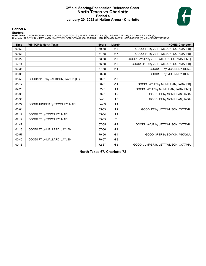### **Official Scoring/Possession Reference Chart North Texas vs Charlotte Period 4 January 20, 2022 at Halton Arena - Charlotte**



### **Period 4**

### **Starters:**

North Texas: 0 NOBLE,QUINCY (G); 4 JACKSON,JAZION (G); 21 MALLARD,JAYLEN (F); 22 GAMEZ,ALY (G); 41 TOWNLEY,MADI (F);<br>Charlotte: 12 BOYKIN,MIKAYLA (G); 13 JETT-WILSON,OCTAVIA (G); 15 MCMILLIAN,JADA (G); 24 WILLIAMS,MOLINA (

| <b>Time</b> | <b>VISITORS: North Texas</b>       | <b>Score</b> | <b>Margin</b>  | <b>HOME: Charlotte</b>                    |
|-------------|------------------------------------|--------------|----------------|-------------------------------------------|
| 09:53       |                                    | 50-58        | V8             | GOOD! FT by JETT-WILSON, OCTAVIA [FB]     |
| 09:53       |                                    | 51-58        | V <sub>7</sub> | GOOD! FT by JETT-WILSON, OCTAVIA [FB]     |
| 08:22       |                                    | 53-58        | V <sub>5</sub> | GOOD! LAYUP by JETT-WILSON, OCTAVIA [PNT] |
| 07:11       |                                    | 56-58        | V <sub>2</sub> | GOOD! 3PTR by JETT-WILSON, OCTAVIA [FB]   |
| 06:35       |                                    | 57-58        | V <sub>1</sub> | GOOD! FT by MCKINNEY, KEKE                |
| 06:35       |                                    | 58-58        | $\mathsf{T}$   | GOOD! FT by MCKINNEY, KEKE                |
| 05:56       | GOOD! 3PTR by JACKSON, JAZION [FB] | 58-61        | V <sub>3</sub> |                                           |
| 05:12       |                                    | 60-61        | V <sub>1</sub> | GOOD! LAYUP by MCMILLIAN, JADA [FB]       |
| 04:20       |                                    | 62-61        | H <sub>1</sub> | GOOD! LAYUP by MCMILLIAN, JADA [PNT]      |
| 03:36       |                                    | 63-61        | H <sub>2</sub> | GOOD! FT by MCMILLIAN, JADA               |
| 03:36       |                                    | 64-61        | $H_3$          | GOOD! FT by MCMILLIAN, JADA               |
| 03:27       | GOOD! JUMPER by TOWNLEY, MADI      | 64-63        | H <sub>1</sub> |                                           |
| 03:04       |                                    | 65-63        | H <sub>2</sub> | GOOD! FT by JETT-WILSON, OCTAVIA          |
| 02:12       | GOOD! FT by TOWNLEY, MADI          | 65-64        | H <sub>1</sub> |                                           |
| 02:12       | GOOD! FT by TOWNLEY, MADI          | 65-65        | T              |                                           |
| 01:47       |                                    | 67-65        | H <sub>2</sub> | GOOD! LAYUP by JETT-WILSON, OCTAVIA       |
| 01:13       | GOOD! FT by MALLARD, JAYLEN        | 67-66        | H <sub>1</sub> |                                           |
| 00:57       |                                    | 70-66        | H <sub>4</sub> | GOOD! 3PTR by BOYKIN, MIKAYLA             |
| 00:40       | GOOD! FT by MALLARD, JAYLEN        | 70-67        | $H_3$          |                                           |
| 00:16       |                                    | 72-67        | H <sub>5</sub> | GOOD! JUMPER by JETT-WILSON, OCTAVIA      |

**North Texas 67, Charlotte 72**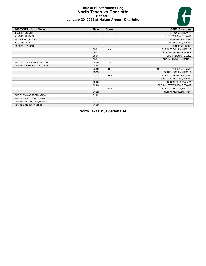### **Official Substitutions Log North Texas vs Charlotte Period 1 January 20, 2022 at Halton Arena - Charlotte**



| <b>VISITORS: North Texas</b> | <b>Time</b> | <b>Score</b> | <b>HOME: Charlotte</b>        |
|------------------------------|-------------|--------------|-------------------------------|
| 0 NOBLE, QUINCY              |             |              | 12 BOYKIN, MIKAYLA            |
| 4 JACKSON, JAZION            |             |              | 13 JETT-WILSON, OCTAVIA       |
| 21 MALLARD, JAYLEN           |             |              | 15 MCMILLIAN, JADA            |
| 22 GAMEZ, ALY                |             |              | 24 WILLIAMS, MOLINA           |
| 41 TOWNLEY, MADI             |             |              | 40 MCKINNEY, KEKE             |
|                              | 05:01       | $6 - 4$      | SUB OUT: BOYKIN, MIKAYLA      |
|                              | 05:01       |              | SUB OUT: MCKINNEY, KEKE       |
|                              | 05:01       |              | SUB IN: BUSICK, JACEE         |
|                              | 05:01       |              | SUB IN: ROACH, KAMERON        |
| SUB OUT: 21 MALLARD, JAYLEN  | 04:48       | $7 - 4$      |                               |
| SUB IN: 24 LAMPKIN, TOMMISHA | 04:48       |              |                               |
|                              | 03:59       | $11 - 6$     | SUB OUT: JETT-WILSON, OCTAVIA |
|                              | 03:59       |              | SUB IN: BOYKIN, MIKAYLA       |
|                              | 02:23       | $11 - 8$     | SUB OUT: MCMILLIAN, JADA      |
|                              | 02:23       |              | SUB OUT: WILLIAMS, MOLINA     |
|                              | 02:23       |              | SUB IN: MCGRAW, MYA           |
|                              | 02:23       |              | SUB IN: JETT-WILSON, OCTAVIA  |
|                              | 01:22       | $16 - 8$     | SUB OUT: BOYKIN, MIKAYLA      |
|                              | 01:22       |              | SUB IN: MCMILLIAN, JADA       |
| SUB OUT: 4 JACKSON, JAZION   | 01:22       |              |                               |
| SUB OUT: 41 TOWNLEY, MADI    | 01:22       |              |                               |
| SUB IN: 1 MCGRUDER, KENDALL  | 01:22       |              |                               |
| SUB IN: 20 DIXON, AMBER      | 01:22       |              |                               |

**North Texas 19, Charlotte 14**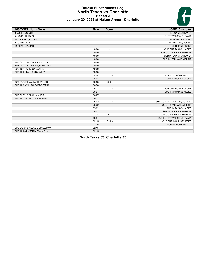# H

### **Official Substitutions Log North Texas vs Charlotte Period 2 January 20, 2022 at Halton Arena - Charlotte**

| <b>VISITORS: North Texas</b>   | <b>Time</b> | <b>Score</b> | <b>HOME: Charlotte</b>        |
|--------------------------------|-------------|--------------|-------------------------------|
| 0 NOBLE, QUINCY                |             |              | 12 BOYKIN.MIKAYLA             |
| 4 JACKSON, JAZION              |             |              | 13 JETT-WILSON, OCTAVIA       |
| 21 MALLARD, JAYLEN             |             |              | 15 MCMILLIAN, JADA            |
| 22 GAMEZ, ALY                  |             |              | 24 WILLIAMS, MOLINA           |
| 41 TOWNLEY, MADI               |             |              | 40 MCKINNEY, KEKE             |
|                                | 10:00       |              | SUB OUT: BUSICK, JACEE        |
|                                | 10:00       |              | SUB OUT: ROACH, KAMERON       |
|                                | 10:00       |              | SUB IN: BOYKIN, MIKAYLA       |
|                                | 10:00       |              | SUB IN: WILLIAMS, MOLINA      |
| SUB OUT: 1 MCGRUDER, KENDALL   | 10:00       |              |                               |
| SUB OUT: 24 LAMPKIN, TOMMISHA  | 10:00       |              |                               |
| SUB IN: 4 JACKSON, JAZION      | 10:00       |              |                               |
| SUB IN: 21 MALLARD, JAYLEN     | 10:00       |              |                               |
|                                | 08:04       | $23-16$      | SUB OUT: MCGRAW, MYA          |
|                                | 08:04       |              | SUB IN: BUSICK, JACEE         |
| SUB OUT: 21 MALLARD, JAYLEN    | 06:58       | $23 - 21$    |                               |
| SUB IN: 33 VILLAS-GOMIS, EMMA  | 06:58       |              |                               |
|                                | 06:27       | 23-23        | SUB OUT: BUSICK, JACEE        |
|                                | 06:27       |              | SUB IN: MCKINNEY, KEKE        |
| SUB OUT: 20 DIXON, AMBER       | 06:27       |              |                               |
| SUB IN: 1 MCGRUDER, KENDALL    | 06:27       |              |                               |
|                                | 05:02       | $27 - 23$    | SUB OUT: JETT-WILSON, OCTAVIA |
|                                | 05:02       |              | SUB OUT: WILLIAMS, MOLINA     |
|                                | 05:02       |              | SUB IN: BUSICK, JACEE         |
|                                | 05:02       |              | SUB IN: ROACH, KAMERON        |
|                                | 03:31       | 29-27        | SUB OUT: ROACH, KAMERON       |
|                                | 03:31       |              | SUB IN: JETT-WILSON, OCTAVIA  |
|                                | 02:15       | 31-29        | SUB OUT: MCKINNEY, KEKE       |
|                                | 02:15       |              | SUB IN: MCGRAW, MYA           |
| SUB OUT: 33 VILLAS-GOMIS, EMMA | 02:15       |              |                               |
| SUB IN: 24 LAMPKIN, TOMMISHA   | 02:15       |              |                               |

**North Texas 33, Charlotte 35**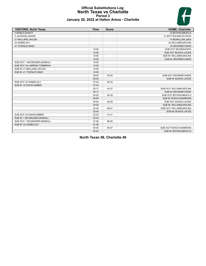### **Official Substitutions Log North Texas vs Charlotte Period 3 January 20, 2022 at Halton Arena - Charlotte**



| <b>VISITORS: North Texas</b>  | <b>Time</b> | <b>Score</b>             | <b>HOME: Charlotte</b>    |
|-------------------------------|-------------|--------------------------|---------------------------|
| 0 NOBLE, QUINCY               |             |                          | 12 BOYKIN, MIKAYLA        |
| 4 JACKSON, JAZION             |             |                          | 13 JETT-WILSON, OCTAVIA   |
| 21 MALLARD, JAYLEN            |             |                          | 15 MCMILLIAN, JADA        |
| 22 GAMEZ, ALY                 |             |                          | 24 WILLIAMS, MOLINA       |
| 41 TOWNLEY, MADI              |             |                          | 40 MCKINNEY, KEKE         |
|                               | 10:00       | $\overline{\phantom{a}}$ | SUB OUT: MCGRAW, MYA      |
|                               | 10:00       |                          | SUB OUT: BUSICK, JACEE    |
|                               | 10:00       |                          | SUB IN: WILLIAMS, MOLINA  |
|                               | 10:00       |                          | SUB IN: MCKINNEY, KEKE    |
| SUB OUT: 1 MCGRUDER, KENDALL  | 10:00       |                          |                           |
| SUB OUT: 24 LAMPKIN, TOMMISHA | 10:00       |                          |                           |
| SUB IN: 21 MALLARD, JAYLEN    | 10:00       |                          |                           |
| SUB IN: 41 TOWNLEY, MADI      | 10:00       |                          |                           |
|                               | 09:42       | 34-35                    | SUB OUT: MCKINNEY, KEKE   |
|                               | 09:42       |                          | SUB IN: BUSICK, JACEE     |
| SUB OUT: 22 GAMEZ, ALY        | 07:03       | 36-35                    |                           |
| SUB IN: 20 DIXON, AMBER       | 07:03       |                          |                           |
|                               | 05:17       | 43-37                    | SUB OUT: WILLIAMS, MOLINA |
|                               | 05:17       |                          | SUB IN: MCKINNEY, KEKE    |
|                               | 04:55       | 45-39                    | SUB OUT: BOYKIN, MIKAYLA  |
|                               | 04:55       |                          | SUB IN: ROACH, KAMERON    |
|                               | 04:04       | 49-39                    | SUB OUT: BUSICK, JACEE    |
|                               | 04:04       |                          | SUB IN: WILLIAMS, MOLINA  |
|                               | 03:45       | 49-41                    | SUB OUT: WILLIAMS, MOLINA |
|                               | 03:45       |                          | SUB IN: BUSICK, JACEE     |
| SUB OUT: 20 DIXON, AMBER      | 02:53       | $51 - 41$                |                           |
| SUB IN: 1 MCGRUDER, KENDALL   | 02:53       |                          |                           |
| SUB OUT: 1 MCGRUDER, KENDALL  | 01:08       | 56-45                    |                           |
| SUB IN: 22 GAMEZ, ALY         | 01:08       |                          |                           |
|                               | 00:40       | 56-47                    | SUB OUT: ROACH, KAMERON   |
|                               | 00:40       |                          | SUB IN: BOYKIN, MIKAYLA   |

**North Texas 58, Charlotte 49**